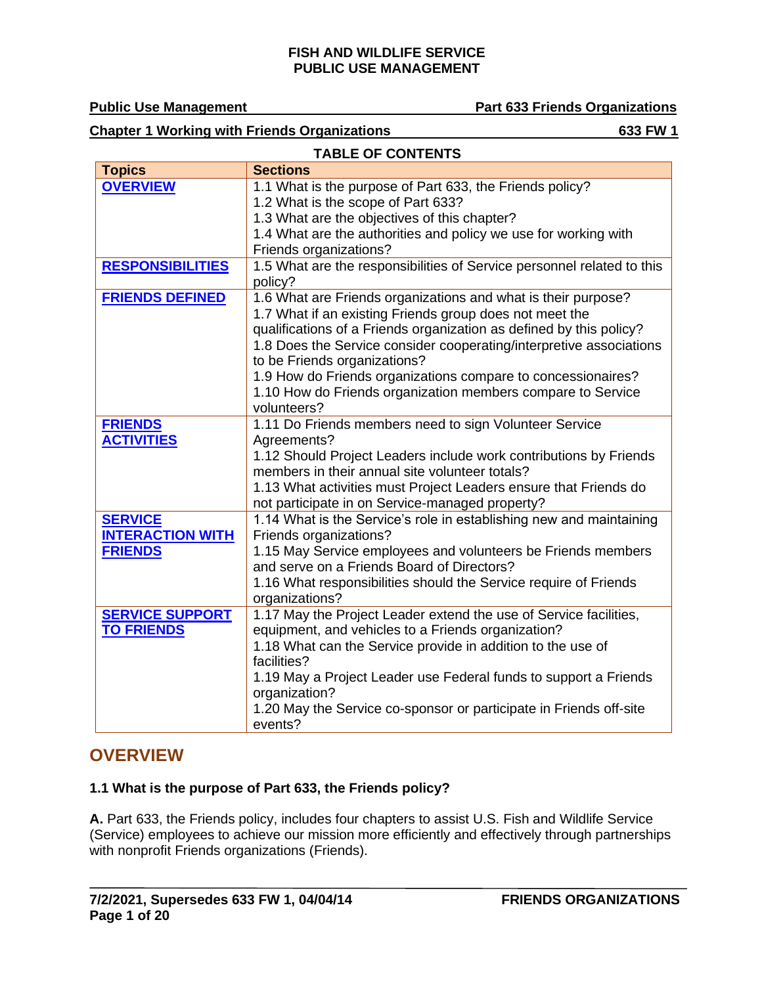**TABLE OF CONTENTS**

**Public Use Management Part 633 Friends Organizations** 

#### **Chapter 1 Working with Friends Organizations** 633 FW 1

| <b>OVERVIEW</b><br>1.1 What is the purpose of Part 633, the Friends policy?<br>1.2 What is the scope of Part 633?<br>1.3 What are the objectives of this chapter?<br>1.4 What are the authorities and policy we use for working with<br>Friends organizations?<br>1.5 What are the responsibilities of Service personnel related to this<br><b>RESPONSIBILITIES</b><br>policy?<br><b>FRIENDS DEFINED</b><br>1.6 What are Friends organizations and what is their purpose?<br>1.7 What if an existing Friends group does not meet the<br>qualifications of a Friends organization as defined by this policy?<br>1.8 Does the Service consider cooperating/interpretive associations<br>to be Friends organizations?<br>1.9 How do Friends organizations compare to concessionaires?<br>1.10 How do Friends organization members compare to Service<br>volunteers?<br>1.11 Do Friends members need to sign Volunteer Service<br><b>FRIENDS</b><br><b>ACTIVITIES</b><br>Agreements?<br>1.12 Should Project Leaders include work contributions by Friends<br>members in their annual site volunteer totals?<br>1.13 What activities must Project Leaders ensure that Friends do<br>not participate in on Service-managed property?<br><b>SERVICE</b><br>1.14 What is the Service's role in establishing new and maintaining<br><b>INTERACTION WITH</b><br>Friends organizations?<br><b>FRIENDS</b><br>1.15 May Service employees and volunteers be Friends members<br>and serve on a Friends Board of Directors?<br>1.16 What responsibilities should the Service require of Friends<br>organizations?<br><b>SERVICE SUPPORT</b><br>1.17 May the Project Leader extend the use of Service facilities,<br><b>TO FRIENDS</b><br>equipment, and vehicles to a Friends organization?<br>1.18 What can the Service provide in addition to the use of<br>facilities?<br>1.19 May a Project Leader use Federal funds to support a Friends | <b>I ADLE UF GUNTENTS</b> |                 |  |  |
|--------------------------------------------------------------------------------------------------------------------------------------------------------------------------------------------------------------------------------------------------------------------------------------------------------------------------------------------------------------------------------------------------------------------------------------------------------------------------------------------------------------------------------------------------------------------------------------------------------------------------------------------------------------------------------------------------------------------------------------------------------------------------------------------------------------------------------------------------------------------------------------------------------------------------------------------------------------------------------------------------------------------------------------------------------------------------------------------------------------------------------------------------------------------------------------------------------------------------------------------------------------------------------------------------------------------------------------------------------------------------------------------------------------------------------------------------------------------------------------------------------------------------------------------------------------------------------------------------------------------------------------------------------------------------------------------------------------------------------------------------------------------------------------------------------------------------------------------------------------------------------------------------------------------------------|---------------------------|-----------------|--|--|
|                                                                                                                                                                                                                                                                                                                                                                                                                                                                                                                                                                                                                                                                                                                                                                                                                                                                                                                                                                                                                                                                                                                                                                                                                                                                                                                                                                                                                                                                                                                                                                                                                                                                                                                                                                                                                                                                                                                                | <b>Topics</b>             | <b>Sections</b> |  |  |
|                                                                                                                                                                                                                                                                                                                                                                                                                                                                                                                                                                                                                                                                                                                                                                                                                                                                                                                                                                                                                                                                                                                                                                                                                                                                                                                                                                                                                                                                                                                                                                                                                                                                                                                                                                                                                                                                                                                                |                           |                 |  |  |
|                                                                                                                                                                                                                                                                                                                                                                                                                                                                                                                                                                                                                                                                                                                                                                                                                                                                                                                                                                                                                                                                                                                                                                                                                                                                                                                                                                                                                                                                                                                                                                                                                                                                                                                                                                                                                                                                                                                                |                           |                 |  |  |
|                                                                                                                                                                                                                                                                                                                                                                                                                                                                                                                                                                                                                                                                                                                                                                                                                                                                                                                                                                                                                                                                                                                                                                                                                                                                                                                                                                                                                                                                                                                                                                                                                                                                                                                                                                                                                                                                                                                                |                           |                 |  |  |
|                                                                                                                                                                                                                                                                                                                                                                                                                                                                                                                                                                                                                                                                                                                                                                                                                                                                                                                                                                                                                                                                                                                                                                                                                                                                                                                                                                                                                                                                                                                                                                                                                                                                                                                                                                                                                                                                                                                                |                           |                 |  |  |
|                                                                                                                                                                                                                                                                                                                                                                                                                                                                                                                                                                                                                                                                                                                                                                                                                                                                                                                                                                                                                                                                                                                                                                                                                                                                                                                                                                                                                                                                                                                                                                                                                                                                                                                                                                                                                                                                                                                                |                           |                 |  |  |
|                                                                                                                                                                                                                                                                                                                                                                                                                                                                                                                                                                                                                                                                                                                                                                                                                                                                                                                                                                                                                                                                                                                                                                                                                                                                                                                                                                                                                                                                                                                                                                                                                                                                                                                                                                                                                                                                                                                                |                           |                 |  |  |
|                                                                                                                                                                                                                                                                                                                                                                                                                                                                                                                                                                                                                                                                                                                                                                                                                                                                                                                                                                                                                                                                                                                                                                                                                                                                                                                                                                                                                                                                                                                                                                                                                                                                                                                                                                                                                                                                                                                                |                           |                 |  |  |
|                                                                                                                                                                                                                                                                                                                                                                                                                                                                                                                                                                                                                                                                                                                                                                                                                                                                                                                                                                                                                                                                                                                                                                                                                                                                                                                                                                                                                                                                                                                                                                                                                                                                                                                                                                                                                                                                                                                                |                           |                 |  |  |
|                                                                                                                                                                                                                                                                                                                                                                                                                                                                                                                                                                                                                                                                                                                                                                                                                                                                                                                                                                                                                                                                                                                                                                                                                                                                                                                                                                                                                                                                                                                                                                                                                                                                                                                                                                                                                                                                                                                                |                           |                 |  |  |
|                                                                                                                                                                                                                                                                                                                                                                                                                                                                                                                                                                                                                                                                                                                                                                                                                                                                                                                                                                                                                                                                                                                                                                                                                                                                                                                                                                                                                                                                                                                                                                                                                                                                                                                                                                                                                                                                                                                                |                           |                 |  |  |
|                                                                                                                                                                                                                                                                                                                                                                                                                                                                                                                                                                                                                                                                                                                                                                                                                                                                                                                                                                                                                                                                                                                                                                                                                                                                                                                                                                                                                                                                                                                                                                                                                                                                                                                                                                                                                                                                                                                                |                           |                 |  |  |
|                                                                                                                                                                                                                                                                                                                                                                                                                                                                                                                                                                                                                                                                                                                                                                                                                                                                                                                                                                                                                                                                                                                                                                                                                                                                                                                                                                                                                                                                                                                                                                                                                                                                                                                                                                                                                                                                                                                                |                           |                 |  |  |
|                                                                                                                                                                                                                                                                                                                                                                                                                                                                                                                                                                                                                                                                                                                                                                                                                                                                                                                                                                                                                                                                                                                                                                                                                                                                                                                                                                                                                                                                                                                                                                                                                                                                                                                                                                                                                                                                                                                                |                           |                 |  |  |
|                                                                                                                                                                                                                                                                                                                                                                                                                                                                                                                                                                                                                                                                                                                                                                                                                                                                                                                                                                                                                                                                                                                                                                                                                                                                                                                                                                                                                                                                                                                                                                                                                                                                                                                                                                                                                                                                                                                                |                           |                 |  |  |
|                                                                                                                                                                                                                                                                                                                                                                                                                                                                                                                                                                                                                                                                                                                                                                                                                                                                                                                                                                                                                                                                                                                                                                                                                                                                                                                                                                                                                                                                                                                                                                                                                                                                                                                                                                                                                                                                                                                                |                           |                 |  |  |
|                                                                                                                                                                                                                                                                                                                                                                                                                                                                                                                                                                                                                                                                                                                                                                                                                                                                                                                                                                                                                                                                                                                                                                                                                                                                                                                                                                                                                                                                                                                                                                                                                                                                                                                                                                                                                                                                                                                                |                           |                 |  |  |
|                                                                                                                                                                                                                                                                                                                                                                                                                                                                                                                                                                                                                                                                                                                                                                                                                                                                                                                                                                                                                                                                                                                                                                                                                                                                                                                                                                                                                                                                                                                                                                                                                                                                                                                                                                                                                                                                                                                                |                           |                 |  |  |
|                                                                                                                                                                                                                                                                                                                                                                                                                                                                                                                                                                                                                                                                                                                                                                                                                                                                                                                                                                                                                                                                                                                                                                                                                                                                                                                                                                                                                                                                                                                                                                                                                                                                                                                                                                                                                                                                                                                                |                           |                 |  |  |
|                                                                                                                                                                                                                                                                                                                                                                                                                                                                                                                                                                                                                                                                                                                                                                                                                                                                                                                                                                                                                                                                                                                                                                                                                                                                                                                                                                                                                                                                                                                                                                                                                                                                                                                                                                                                                                                                                                                                |                           |                 |  |  |
|                                                                                                                                                                                                                                                                                                                                                                                                                                                                                                                                                                                                                                                                                                                                                                                                                                                                                                                                                                                                                                                                                                                                                                                                                                                                                                                                                                                                                                                                                                                                                                                                                                                                                                                                                                                                                                                                                                                                |                           |                 |  |  |
|                                                                                                                                                                                                                                                                                                                                                                                                                                                                                                                                                                                                                                                                                                                                                                                                                                                                                                                                                                                                                                                                                                                                                                                                                                                                                                                                                                                                                                                                                                                                                                                                                                                                                                                                                                                                                                                                                                                                |                           |                 |  |  |
|                                                                                                                                                                                                                                                                                                                                                                                                                                                                                                                                                                                                                                                                                                                                                                                                                                                                                                                                                                                                                                                                                                                                                                                                                                                                                                                                                                                                                                                                                                                                                                                                                                                                                                                                                                                                                                                                                                                                |                           |                 |  |  |
|                                                                                                                                                                                                                                                                                                                                                                                                                                                                                                                                                                                                                                                                                                                                                                                                                                                                                                                                                                                                                                                                                                                                                                                                                                                                                                                                                                                                                                                                                                                                                                                                                                                                                                                                                                                                                                                                                                                                |                           |                 |  |  |
|                                                                                                                                                                                                                                                                                                                                                                                                                                                                                                                                                                                                                                                                                                                                                                                                                                                                                                                                                                                                                                                                                                                                                                                                                                                                                                                                                                                                                                                                                                                                                                                                                                                                                                                                                                                                                                                                                                                                |                           |                 |  |  |
|                                                                                                                                                                                                                                                                                                                                                                                                                                                                                                                                                                                                                                                                                                                                                                                                                                                                                                                                                                                                                                                                                                                                                                                                                                                                                                                                                                                                                                                                                                                                                                                                                                                                                                                                                                                                                                                                                                                                |                           |                 |  |  |
|                                                                                                                                                                                                                                                                                                                                                                                                                                                                                                                                                                                                                                                                                                                                                                                                                                                                                                                                                                                                                                                                                                                                                                                                                                                                                                                                                                                                                                                                                                                                                                                                                                                                                                                                                                                                                                                                                                                                |                           |                 |  |  |
|                                                                                                                                                                                                                                                                                                                                                                                                                                                                                                                                                                                                                                                                                                                                                                                                                                                                                                                                                                                                                                                                                                                                                                                                                                                                                                                                                                                                                                                                                                                                                                                                                                                                                                                                                                                                                                                                                                                                |                           |                 |  |  |
|                                                                                                                                                                                                                                                                                                                                                                                                                                                                                                                                                                                                                                                                                                                                                                                                                                                                                                                                                                                                                                                                                                                                                                                                                                                                                                                                                                                                                                                                                                                                                                                                                                                                                                                                                                                                                                                                                                                                |                           |                 |  |  |
|                                                                                                                                                                                                                                                                                                                                                                                                                                                                                                                                                                                                                                                                                                                                                                                                                                                                                                                                                                                                                                                                                                                                                                                                                                                                                                                                                                                                                                                                                                                                                                                                                                                                                                                                                                                                                                                                                                                                |                           |                 |  |  |
|                                                                                                                                                                                                                                                                                                                                                                                                                                                                                                                                                                                                                                                                                                                                                                                                                                                                                                                                                                                                                                                                                                                                                                                                                                                                                                                                                                                                                                                                                                                                                                                                                                                                                                                                                                                                                                                                                                                                |                           |                 |  |  |
|                                                                                                                                                                                                                                                                                                                                                                                                                                                                                                                                                                                                                                                                                                                                                                                                                                                                                                                                                                                                                                                                                                                                                                                                                                                                                                                                                                                                                                                                                                                                                                                                                                                                                                                                                                                                                                                                                                                                |                           |                 |  |  |
|                                                                                                                                                                                                                                                                                                                                                                                                                                                                                                                                                                                                                                                                                                                                                                                                                                                                                                                                                                                                                                                                                                                                                                                                                                                                                                                                                                                                                                                                                                                                                                                                                                                                                                                                                                                                                                                                                                                                |                           |                 |  |  |
|                                                                                                                                                                                                                                                                                                                                                                                                                                                                                                                                                                                                                                                                                                                                                                                                                                                                                                                                                                                                                                                                                                                                                                                                                                                                                                                                                                                                                                                                                                                                                                                                                                                                                                                                                                                                                                                                                                                                |                           | organization?   |  |  |
| 1.20 May the Service co-sponsor or participate in Friends off-site                                                                                                                                                                                                                                                                                                                                                                                                                                                                                                                                                                                                                                                                                                                                                                                                                                                                                                                                                                                                                                                                                                                                                                                                                                                                                                                                                                                                                                                                                                                                                                                                                                                                                                                                                                                                                                                             |                           |                 |  |  |
| events?                                                                                                                                                                                                                                                                                                                                                                                                                                                                                                                                                                                                                                                                                                                                                                                                                                                                                                                                                                                                                                                                                                                                                                                                                                                                                                                                                                                                                                                                                                                                                                                                                                                                                                                                                                                                                                                                                                                        |                           |                 |  |  |

## <span id="page-0-0"></span>**OVERVIEW**

### **1.1 What is the purpose of Part 633, the Friends policy?**

**A.** Part 633, the Friends policy, includes four chapters to assist U.S. Fish and Wildlife Service (Service) employees to achieve our mission more efficiently and effectively through partnerships with nonprofit Friends organizations (Friends).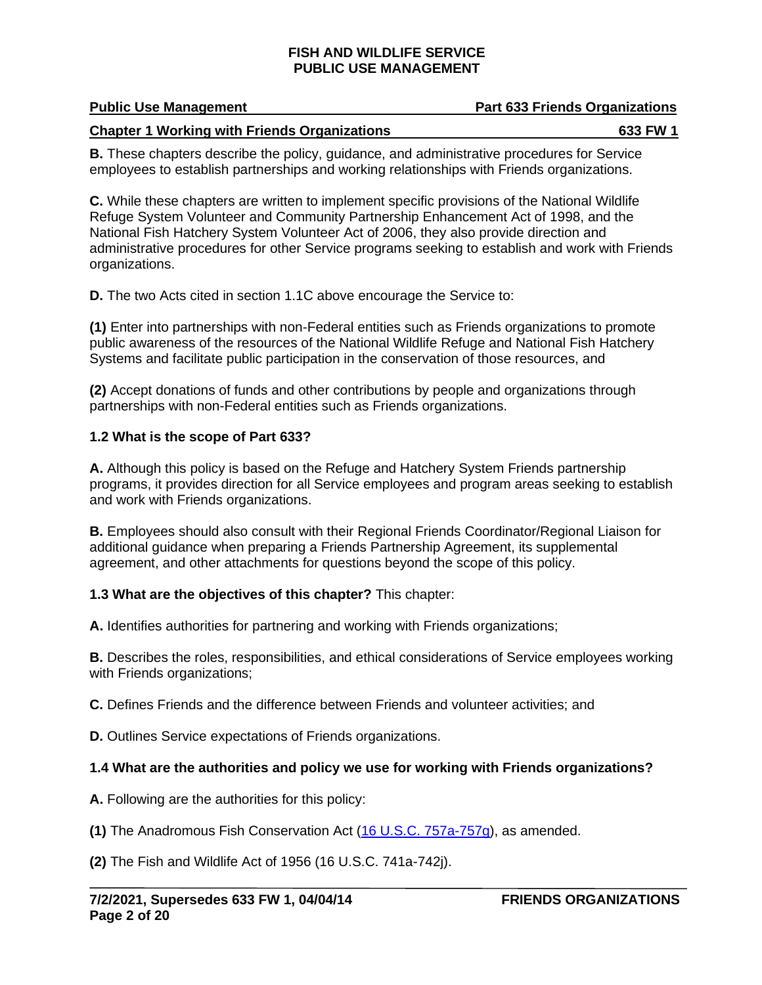## **Public Use Management Part 633 Friends Organizations**

#### **Chapter 1 Working with Friends Organizations 633 FW 1**

**B.** These chapters describe the policy, guidance, and administrative procedures for Service employees to establish partnerships and working relationships with Friends organizations.

**C.** While these chapters are written to implement specific provisions of the National Wildlife Refuge System Volunteer and Community Partnership Enhancement Act of 1998, and the National Fish Hatchery System Volunteer Act of 2006, they also provide direction and administrative procedures for other Service programs seeking to establish and work with Friends organizations.

**D.** The two Acts cited in section 1.1C above encourage the Service to:

**(1)** Enter into partnerships with non-Federal entities such as Friends organizations to promote public awareness of the resources of the National Wildlife Refuge and National Fish Hatchery Systems and facilitate public participation in the conservation of those resources, and

**(2)** Accept donations of funds and other contributions by people and organizations through partnerships with non-Federal entities such as Friends organizations.

### **1.2 What is the scope of Part 633?**

**A.** Although this policy is based on the Refuge and Hatchery System Friends partnership programs, it provides direction for all Service employees and program areas seeking to establish and work with Friends organizations.

**B.** Employees should also consult with their Regional Friends Coordinator/Regional Liaison for additional guidance when preparing a Friends Partnership Agreement, its supplemental agreement, and other attachments for questions beyond the scope of this policy.

### **1.3 What are the objectives of this chapter?** This chapter:

**A.** Identifies authorities for partnering and working with Friends organizations;

**B.** Describes the roles, responsibilities, and ethical considerations of Service employees working with Friends organizations;

**C.** Defines Friends and the difference between Friends and volunteer activities; and

**D.** Outlines Service expectations of Friends organizations.

### **1.4 What are the authorities and policy we use for working with Friends organizations?**

**A.** Following are the authorities for this policy:

**(1)** The Anadromous Fish Conservation Act [\(16 U.S.C. 757a-757g\)](https://uscode.house.gov/search/criteria.shtml), as amended.

**(2)** The Fish and Wildlife Act of 1956 (16 U.S.C. 741a-742j).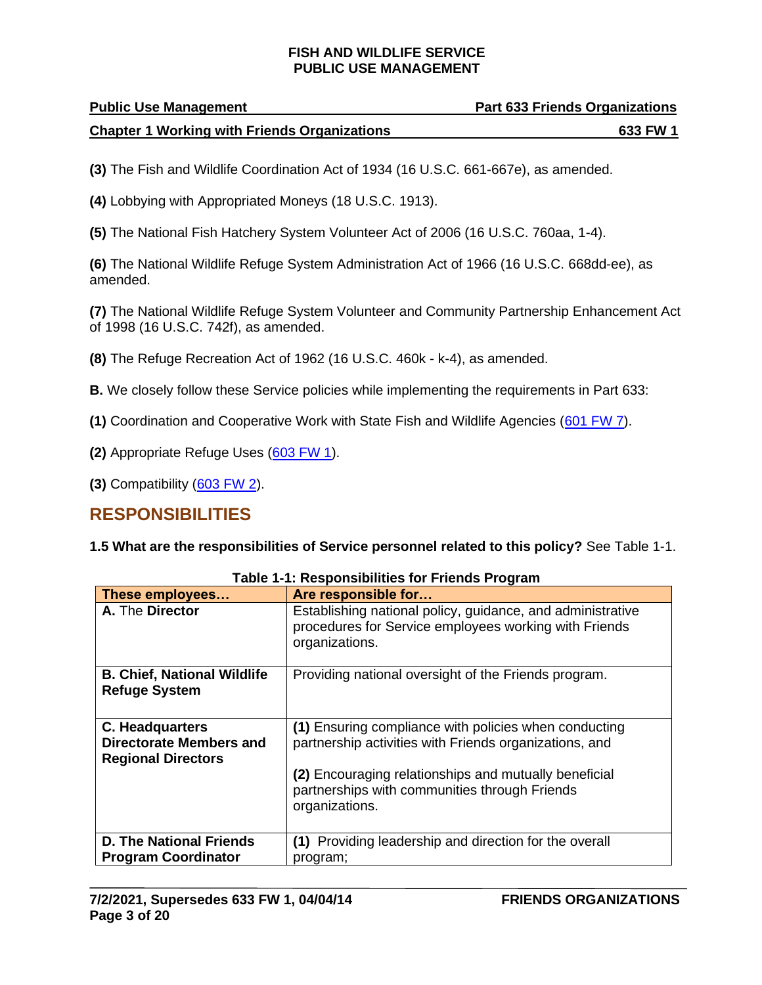| <b>Public Use Management</b>                        | <b>Part 633 Friends Organizations</b> |
|-----------------------------------------------------|---------------------------------------|
| <b>Chapter 1 Working with Friends Organizations</b> | 633 FW 1                              |

**(3)** The Fish and Wildlife Coordination Act of 1934 (16 U.S.C. 661-667e), as amended.

- **(4)** Lobbying with Appropriated Moneys (18 U.S.C. 1913).
- **(5)** The National Fish Hatchery System Volunteer Act of 2006 (16 U.S.C. 760aa, 1-4).

**(6)** The National Wildlife Refuge System Administration Act of 1966 (16 U.S.C. 668dd-ee), as amended.

**(7)** The National Wildlife Refuge System Volunteer and Community Partnership Enhancement Act of 1998 (16 U.S.C. 742f), as amended.

**(8)** The Refuge Recreation Act of 1962 (16 U.S.C. 460k - k-4), as amended.

**B.** We closely follow these Service policies while implementing the requirements in Part 633:

- **(1)** Coordination and Cooperative Work with State Fish and Wildlife Agencies [\(601 FW 7\)](https://www.fws.gov/policy/601fw7.html).
- **(2)** Appropriate Refuge Uses [\(603 FW 1\)](http://www.fws.gov/policy/603fw1.html).
- **(3)** Compatibility [\(603 FW 2\)](http://www.fws.gov/policy/603fw2.html).

## <span id="page-2-0"></span>**RESPONSIBILITIES**

**1.5 What are the responsibilities of Service personnel related to this policy?** See Table 1-1.

| These employees                                                                | Are responsible for                                                                                                                   |
|--------------------------------------------------------------------------------|---------------------------------------------------------------------------------------------------------------------------------------|
| A. The Director                                                                | Establishing national policy, guidance, and administrative<br>procedures for Service employees working with Friends<br>organizations. |
| <b>B. Chief, National Wildlife</b><br><b>Refuge System</b>                     | Providing national oversight of the Friends program.                                                                                  |
| C. Headquarters<br><b>Directorate Members and</b><br><b>Regional Directors</b> | (1) Ensuring compliance with policies when conducting<br>partnership activities with Friends organizations, and                       |
|                                                                                | (2) Encouraging relationships and mutually beneficial<br>partnerships with communities through Friends<br>organizations.              |
| <b>D. The National Friends</b>                                                 | (1) Providing leadership and direction for the overall                                                                                |
| <b>Program Coordinator</b>                                                     | program;                                                                                                                              |

**Table 1-1: Responsibilities for Friends Program**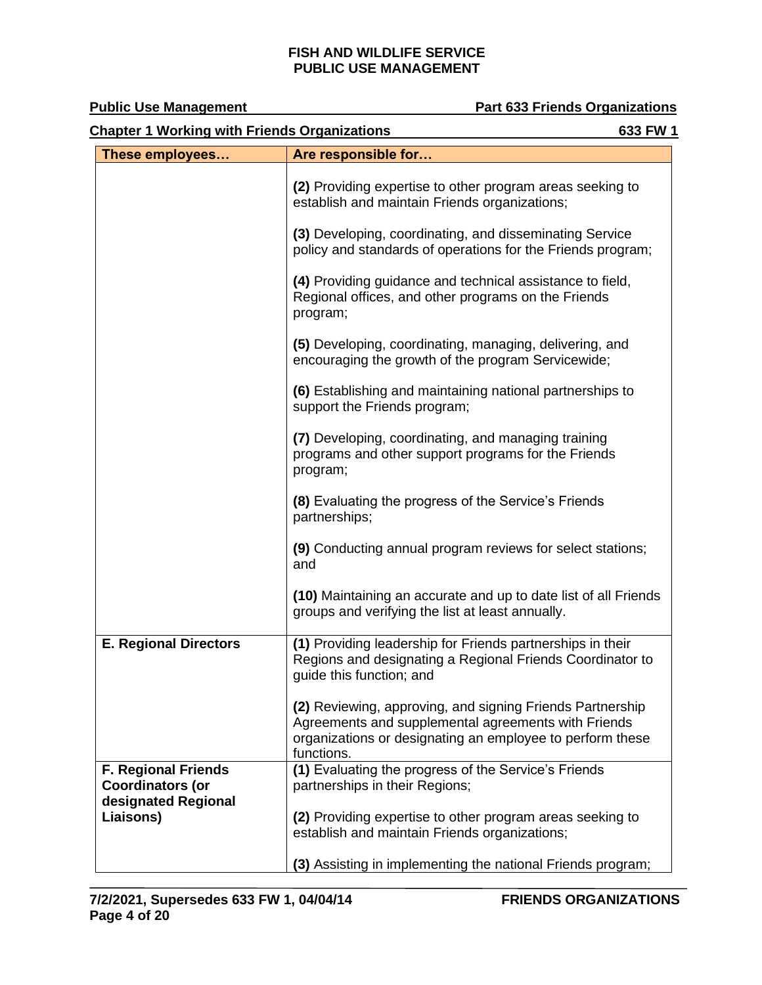| <b>Chapter 1 Working with Friends Organizations</b><br>633 FW 1              |                                                                                                                                                                                             |  |
|------------------------------------------------------------------------------|---------------------------------------------------------------------------------------------------------------------------------------------------------------------------------------------|--|
| These employees                                                              | Are responsible for                                                                                                                                                                         |  |
|                                                                              | (2) Providing expertise to other program areas seeking to<br>establish and maintain Friends organizations;                                                                                  |  |
|                                                                              | (3) Developing, coordinating, and disseminating Service<br>policy and standards of operations for the Friends program;                                                                      |  |
|                                                                              | (4) Providing guidance and technical assistance to field,<br>Regional offices, and other programs on the Friends<br>program;                                                                |  |
|                                                                              | (5) Developing, coordinating, managing, delivering, and<br>encouraging the growth of the program Servicewide;                                                                               |  |
|                                                                              | (6) Establishing and maintaining national partnerships to<br>support the Friends program;                                                                                                   |  |
|                                                                              | (7) Developing, coordinating, and managing training<br>programs and other support programs for the Friends<br>program;                                                                      |  |
|                                                                              | (8) Evaluating the progress of the Service's Friends<br>partnerships;                                                                                                                       |  |
|                                                                              | (9) Conducting annual program reviews for select stations;<br>and                                                                                                                           |  |
|                                                                              | (10) Maintaining an accurate and up to date list of all Friends<br>groups and verifying the list at least annually.                                                                         |  |
| <b>E. Regional Directors</b>                                                 | (1) Providing leadership for Friends partnerships in their<br>Regions and designating a Regional Friends Coordinator to<br>guide this function; and                                         |  |
|                                                                              | (2) Reviewing, approving, and signing Friends Partnership<br>Agreements and supplemental agreements with Friends<br>organizations or designating an employee to perform these<br>functions. |  |
| <b>F. Regional Friends</b><br><b>Coordinators (or</b><br>designated Regional | (1) Evaluating the progress of the Service's Friends<br>partnerships in their Regions;                                                                                                      |  |
| Liaisons)                                                                    | (2) Providing expertise to other program areas seeking to<br>establish and maintain Friends organizations;                                                                                  |  |
|                                                                              | (3) Assisting in implementing the national Friends program;                                                                                                                                 |  |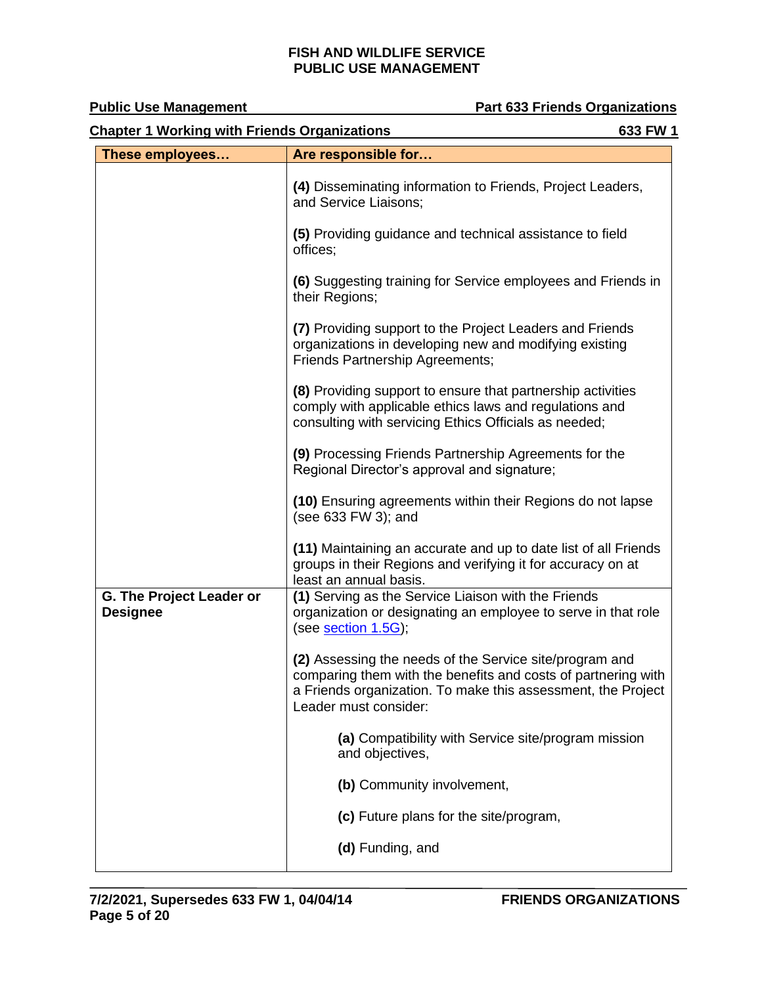**Public Use Management Constrainer Part 633 Friends Organizations** 

| <b>Chapter 1 Working with Friends Organizations</b><br>633 FW 1 |                                                                                                                                                                                                                   |  |
|-----------------------------------------------------------------|-------------------------------------------------------------------------------------------------------------------------------------------------------------------------------------------------------------------|--|
| These employees                                                 | Are responsible for                                                                                                                                                                                               |  |
|                                                                 | (4) Disseminating information to Friends, Project Leaders,<br>and Service Liaisons;                                                                                                                               |  |
|                                                                 | (5) Providing guidance and technical assistance to field<br>offices;                                                                                                                                              |  |
|                                                                 | (6) Suggesting training for Service employees and Friends in<br>their Regions;                                                                                                                                    |  |
|                                                                 | (7) Providing support to the Project Leaders and Friends<br>organizations in developing new and modifying existing<br>Friends Partnership Agreements;                                                             |  |
|                                                                 | (8) Providing support to ensure that partnership activities<br>comply with applicable ethics laws and regulations and<br>consulting with servicing Ethics Officials as needed;                                    |  |
|                                                                 | (9) Processing Friends Partnership Agreements for the<br>Regional Director's approval and signature;                                                                                                              |  |
|                                                                 | (10) Ensuring agreements within their Regions do not lapse<br>(see 633 FW 3); and                                                                                                                                 |  |
|                                                                 | (11) Maintaining an accurate and up to date list of all Friends<br>groups in their Regions and verifying it for accuracy on at<br>least an annual basis.                                                          |  |
| G. The Project Leader or<br><b>Designee</b>                     | (1) Serving as the Service Liaison with the Friends<br>organization or designating an employee to serve in that role<br>(see section 1.5G);                                                                       |  |
|                                                                 | (2) Assessing the needs of the Service site/program and<br>comparing them with the benefits and costs of partnering with<br>a Friends organization. To make this assessment, the Project<br>Leader must consider: |  |
|                                                                 | (a) Compatibility with Service site/program mission<br>and objectives,                                                                                                                                            |  |
|                                                                 | (b) Community involvement,                                                                                                                                                                                        |  |
|                                                                 | (c) Future plans for the site/program,                                                                                                                                                                            |  |
|                                                                 | (d) Funding, and                                                                                                                                                                                                  |  |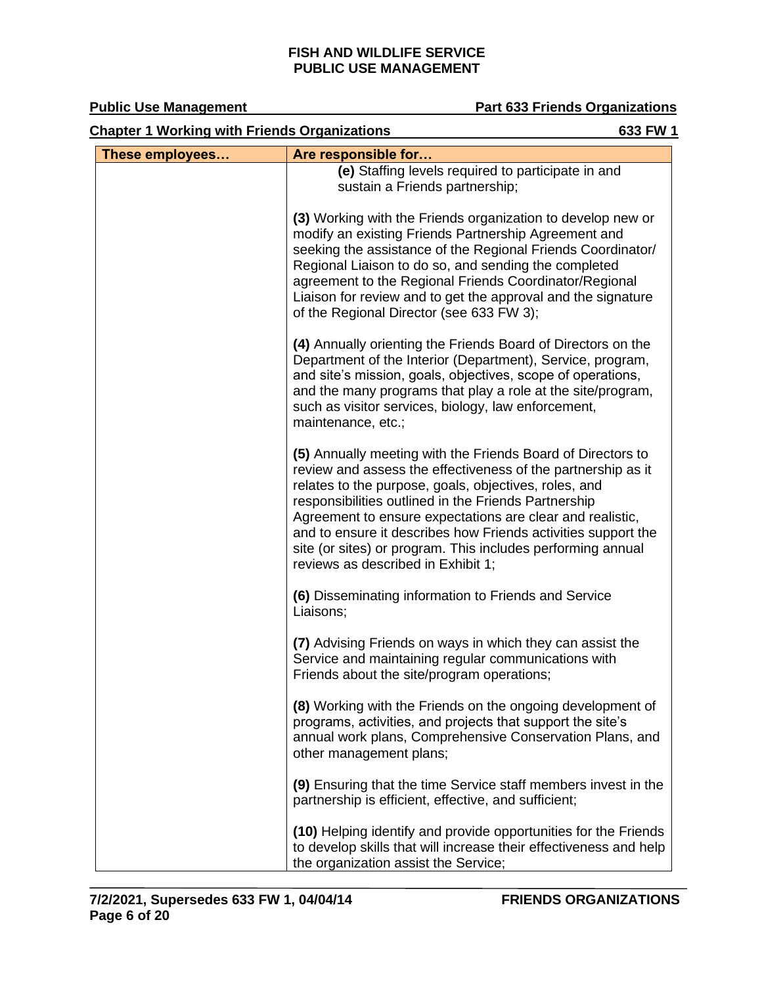| <b>Chapter 1 Working with Friends Organizations</b><br>633 FW 1 |                                                                                                                                                                                                                                                                                                                                                                                                                                                                                 |  |
|-----------------------------------------------------------------|---------------------------------------------------------------------------------------------------------------------------------------------------------------------------------------------------------------------------------------------------------------------------------------------------------------------------------------------------------------------------------------------------------------------------------------------------------------------------------|--|
| These employees                                                 | Are responsible for                                                                                                                                                                                                                                                                                                                                                                                                                                                             |  |
|                                                                 | (e) Staffing levels required to participate in and<br>sustain a Friends partnership;                                                                                                                                                                                                                                                                                                                                                                                            |  |
|                                                                 | (3) Working with the Friends organization to develop new or<br>modify an existing Friends Partnership Agreement and<br>seeking the assistance of the Regional Friends Coordinator/<br>Regional Liaison to do so, and sending the completed<br>agreement to the Regional Friends Coordinator/Regional<br>Liaison for review and to get the approval and the signature<br>of the Regional Director (see 633 FW 3);                                                                |  |
|                                                                 | (4) Annually orienting the Friends Board of Directors on the<br>Department of the Interior (Department), Service, program,<br>and site's mission, goals, objectives, scope of operations,<br>and the many programs that play a role at the site/program,<br>such as visitor services, biology, law enforcement,<br>maintenance, etc.;                                                                                                                                           |  |
|                                                                 | (5) Annually meeting with the Friends Board of Directors to<br>review and assess the effectiveness of the partnership as it<br>relates to the purpose, goals, objectives, roles, and<br>responsibilities outlined in the Friends Partnership<br>Agreement to ensure expectations are clear and realistic,<br>and to ensure it describes how Friends activities support the<br>site (or sites) or program. This includes performing annual<br>reviews as described in Exhibit 1; |  |
|                                                                 | (6) Disseminating information to Friends and Service<br>Liaisons;                                                                                                                                                                                                                                                                                                                                                                                                               |  |
|                                                                 | (7) Advising Friends on ways in which they can assist the<br>Service and maintaining regular communications with<br>Friends about the site/program operations;                                                                                                                                                                                                                                                                                                                  |  |
|                                                                 | (8) Working with the Friends on the ongoing development of<br>programs, activities, and projects that support the site's<br>annual work plans, Comprehensive Conservation Plans, and<br>other management plans;                                                                                                                                                                                                                                                                 |  |
|                                                                 | (9) Ensuring that the time Service staff members invest in the<br>partnership is efficient, effective, and sufficient;                                                                                                                                                                                                                                                                                                                                                          |  |
|                                                                 | (10) Helping identify and provide opportunities for the Friends<br>to develop skills that will increase their effectiveness and help<br>the organization assist the Service;                                                                                                                                                                                                                                                                                                    |  |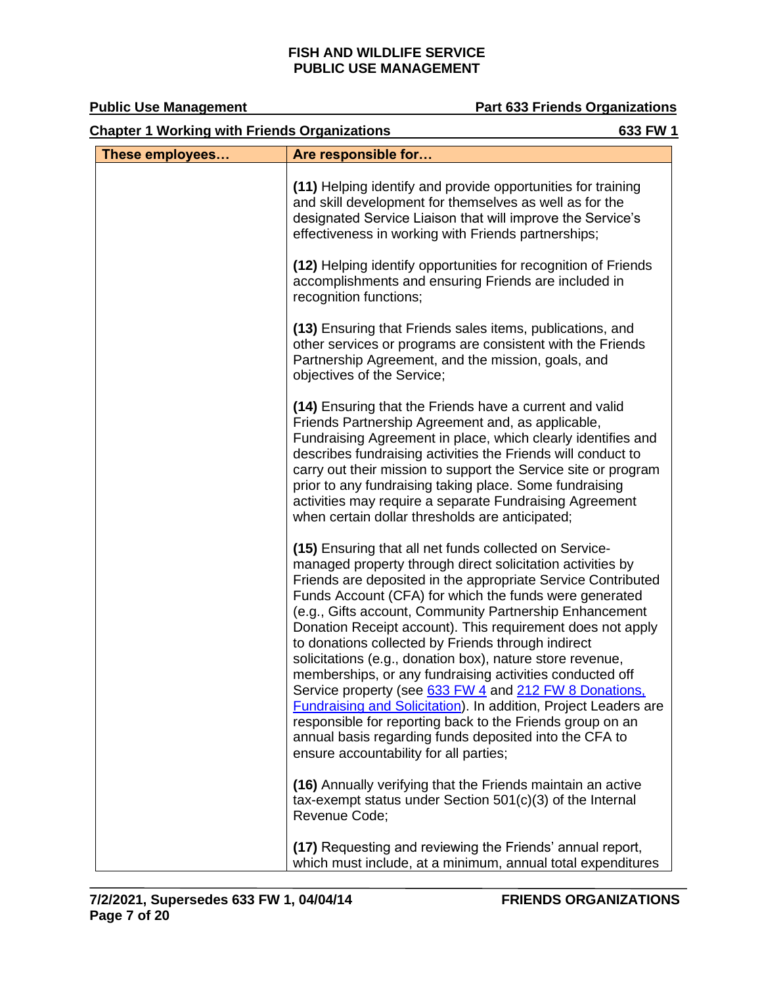**Public Use Management Constrainer Part 633 Friends Organizations** 

| <b>Chapter 1 Working with Friends Organizations</b><br>633 FW 1 |                                                                                                                                                                                                                                                                                                                                                                                                                                                                                                                                                                                                                                                                                                                                                                                                                                                             |  |
|-----------------------------------------------------------------|-------------------------------------------------------------------------------------------------------------------------------------------------------------------------------------------------------------------------------------------------------------------------------------------------------------------------------------------------------------------------------------------------------------------------------------------------------------------------------------------------------------------------------------------------------------------------------------------------------------------------------------------------------------------------------------------------------------------------------------------------------------------------------------------------------------------------------------------------------------|--|
| These employees                                                 | Are responsible for                                                                                                                                                                                                                                                                                                                                                                                                                                                                                                                                                                                                                                                                                                                                                                                                                                         |  |
|                                                                 | (11) Helping identify and provide opportunities for training<br>and skill development for themselves as well as for the<br>designated Service Liaison that will improve the Service's<br>effectiveness in working with Friends partnerships;                                                                                                                                                                                                                                                                                                                                                                                                                                                                                                                                                                                                                |  |
|                                                                 | (12) Helping identify opportunities for recognition of Friends<br>accomplishments and ensuring Friends are included in<br>recognition functions;                                                                                                                                                                                                                                                                                                                                                                                                                                                                                                                                                                                                                                                                                                            |  |
|                                                                 | (13) Ensuring that Friends sales items, publications, and<br>other services or programs are consistent with the Friends<br>Partnership Agreement, and the mission, goals, and<br>objectives of the Service;                                                                                                                                                                                                                                                                                                                                                                                                                                                                                                                                                                                                                                                 |  |
|                                                                 | (14) Ensuring that the Friends have a current and valid<br>Friends Partnership Agreement and, as applicable,<br>Fundraising Agreement in place, which clearly identifies and<br>describes fundraising activities the Friends will conduct to<br>carry out their mission to support the Service site or program<br>prior to any fundraising taking place. Some fundraising<br>activities may require a separate Fundraising Agreement<br>when certain dollar thresholds are anticipated;                                                                                                                                                                                                                                                                                                                                                                     |  |
|                                                                 | (15) Ensuring that all net funds collected on Service-<br>managed property through direct solicitation activities by<br>Friends are deposited in the appropriate Service Contributed<br>Funds Account (CFA) for which the funds were generated<br>(e.g., Gifts account, Community Partnership Enhancement<br>Donation Receipt account). This requirement does not apply<br>to donations collected by Friends through indirect<br>solicitations (e.g., donation box), nature store revenue,<br>memberships, or any fundraising activities conducted off<br>Service property (see 633 FW 4 and 212 FW 8 Donations,<br><b>Fundraising and Solicitation). In addition, Project Leaders are</b><br>responsible for reporting back to the Friends group on an<br>annual basis regarding funds deposited into the CFA to<br>ensure accountability for all parties; |  |
|                                                                 | (16) Annually verifying that the Friends maintain an active<br>tax-exempt status under Section $501(c)(3)$ of the Internal<br>Revenue Code;                                                                                                                                                                                                                                                                                                                                                                                                                                                                                                                                                                                                                                                                                                                 |  |
|                                                                 | (17) Requesting and reviewing the Friends' annual report,<br>which must include, at a minimum, annual total expenditures                                                                                                                                                                                                                                                                                                                                                                                                                                                                                                                                                                                                                                                                                                                                    |  |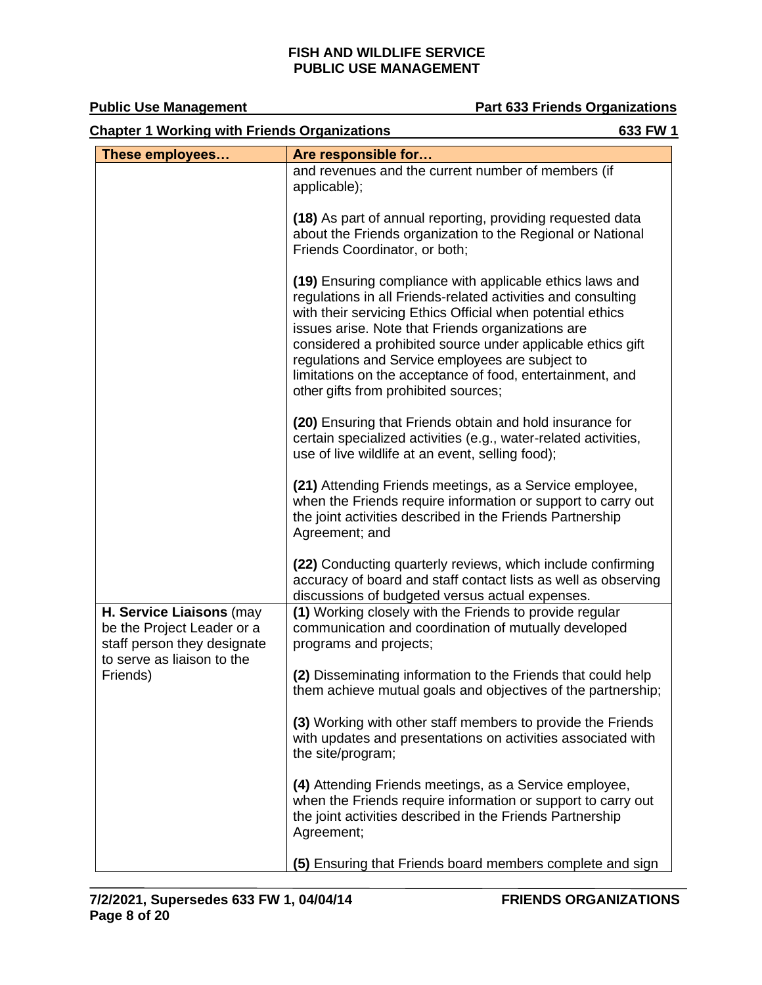<span id="page-7-0"></span>

| <b>Chapter 1 Working with Friends Organizations</b><br>633 FW 1                                                                 |                                                                                                                                                                                                                                                                                                                                                                                                                                                                     |  |
|---------------------------------------------------------------------------------------------------------------------------------|---------------------------------------------------------------------------------------------------------------------------------------------------------------------------------------------------------------------------------------------------------------------------------------------------------------------------------------------------------------------------------------------------------------------------------------------------------------------|--|
| These employees                                                                                                                 | Are responsible for                                                                                                                                                                                                                                                                                                                                                                                                                                                 |  |
|                                                                                                                                 | and revenues and the current number of members (if<br>applicable);                                                                                                                                                                                                                                                                                                                                                                                                  |  |
|                                                                                                                                 | (18) As part of annual reporting, providing requested data<br>about the Friends organization to the Regional or National<br>Friends Coordinator, or both;                                                                                                                                                                                                                                                                                                           |  |
|                                                                                                                                 | (19) Ensuring compliance with applicable ethics laws and<br>regulations in all Friends-related activities and consulting<br>with their servicing Ethics Official when potential ethics<br>issues arise. Note that Friends organizations are<br>considered a prohibited source under applicable ethics gift<br>regulations and Service employees are subject to<br>limitations on the acceptance of food, entertainment, and<br>other gifts from prohibited sources; |  |
|                                                                                                                                 | (20) Ensuring that Friends obtain and hold insurance for<br>certain specialized activities (e.g., water-related activities,<br>use of live wildlife at an event, selling food);                                                                                                                                                                                                                                                                                     |  |
|                                                                                                                                 | (21) Attending Friends meetings, as a Service employee,<br>when the Friends require information or support to carry out<br>the joint activities described in the Friends Partnership<br>Agreement; and                                                                                                                                                                                                                                                              |  |
|                                                                                                                                 | (22) Conducting quarterly reviews, which include confirming<br>accuracy of board and staff contact lists as well as observing<br>discussions of budgeted versus actual expenses.                                                                                                                                                                                                                                                                                    |  |
| H. Service Liaisons (may<br>be the Project Leader or a<br>staff person they designate<br>to serve as liaison to the<br>Friends) | (1) Working closely with the Friends to provide regular<br>communication and coordination of mutually developed<br>programs and projects;                                                                                                                                                                                                                                                                                                                           |  |
|                                                                                                                                 | (2) Disseminating information to the Friends that could help<br>them achieve mutual goals and objectives of the partnership;                                                                                                                                                                                                                                                                                                                                        |  |
|                                                                                                                                 | (3) Working with other staff members to provide the Friends<br>with updates and presentations on activities associated with<br>the site/program;                                                                                                                                                                                                                                                                                                                    |  |
|                                                                                                                                 | (4) Attending Friends meetings, as a Service employee,<br>when the Friends require information or support to carry out<br>the joint activities described in the Friends Partnership<br>Agreement;                                                                                                                                                                                                                                                                   |  |
|                                                                                                                                 | (5) Ensuring that Friends board members complete and sign                                                                                                                                                                                                                                                                                                                                                                                                           |  |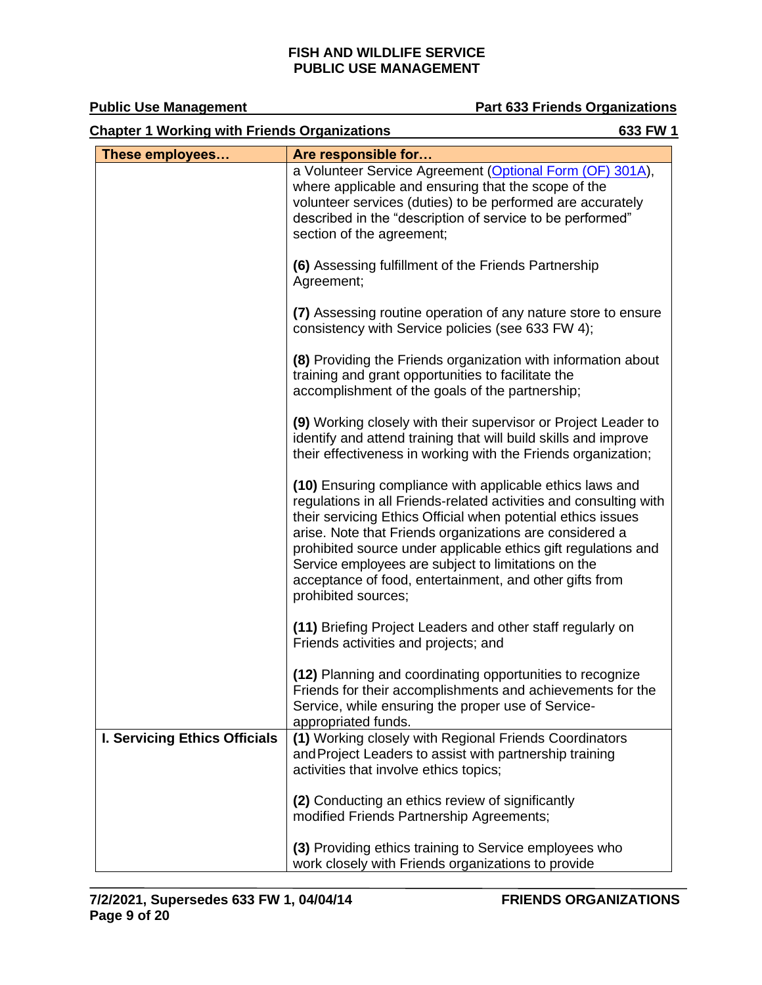| <b>Chapter 1 Working with Friends Organizations</b><br>633 FW 1 |                                                                                                                                                                                                                                                                                                                                                                                                                                                                     |  |
|-----------------------------------------------------------------|---------------------------------------------------------------------------------------------------------------------------------------------------------------------------------------------------------------------------------------------------------------------------------------------------------------------------------------------------------------------------------------------------------------------------------------------------------------------|--|
| These employees                                                 | Are responsible for                                                                                                                                                                                                                                                                                                                                                                                                                                                 |  |
|                                                                 | a Volunteer Service Agreement (Optional Form (OF) 301A),<br>where applicable and ensuring that the scope of the<br>volunteer services (duties) to be performed are accurately<br>described in the "description of service to be performed"<br>section of the agreement;                                                                                                                                                                                             |  |
|                                                                 | (6) Assessing fulfillment of the Friends Partnership<br>Agreement;                                                                                                                                                                                                                                                                                                                                                                                                  |  |
|                                                                 | (7) Assessing routine operation of any nature store to ensure<br>consistency with Service policies (see 633 FW 4);                                                                                                                                                                                                                                                                                                                                                  |  |
|                                                                 | (8) Providing the Friends organization with information about<br>training and grant opportunities to facilitate the<br>accomplishment of the goals of the partnership;                                                                                                                                                                                                                                                                                              |  |
|                                                                 | (9) Working closely with their supervisor or Project Leader to<br>identify and attend training that will build skills and improve<br>their effectiveness in working with the Friends organization;                                                                                                                                                                                                                                                                  |  |
|                                                                 | (10) Ensuring compliance with applicable ethics laws and<br>regulations in all Friends-related activities and consulting with<br>their servicing Ethics Official when potential ethics issues<br>arise. Note that Friends organizations are considered a<br>prohibited source under applicable ethics gift regulations and<br>Service employees are subject to limitations on the<br>acceptance of food, entertainment, and other gifts from<br>prohibited sources; |  |
|                                                                 | (11) Briefing Project Leaders and other staff regularly on<br>Friends activities and projects; and                                                                                                                                                                                                                                                                                                                                                                  |  |
|                                                                 | (12) Planning and coordinating opportunities to recognize<br>Friends for their accomplishments and achievements for the<br>Service, while ensuring the proper use of Service-<br>appropriated funds.                                                                                                                                                                                                                                                                |  |
| <b>I. Servicing Ethics Officials</b>                            | (1) Working closely with Regional Friends Coordinators<br>and Project Leaders to assist with partnership training<br>activities that involve ethics topics;                                                                                                                                                                                                                                                                                                         |  |
|                                                                 | (2) Conducting an ethics review of significantly<br>modified Friends Partnership Agreements;                                                                                                                                                                                                                                                                                                                                                                        |  |
|                                                                 | (3) Providing ethics training to Service employees who<br>work closely with Friends organizations to provide                                                                                                                                                                                                                                                                                                                                                        |  |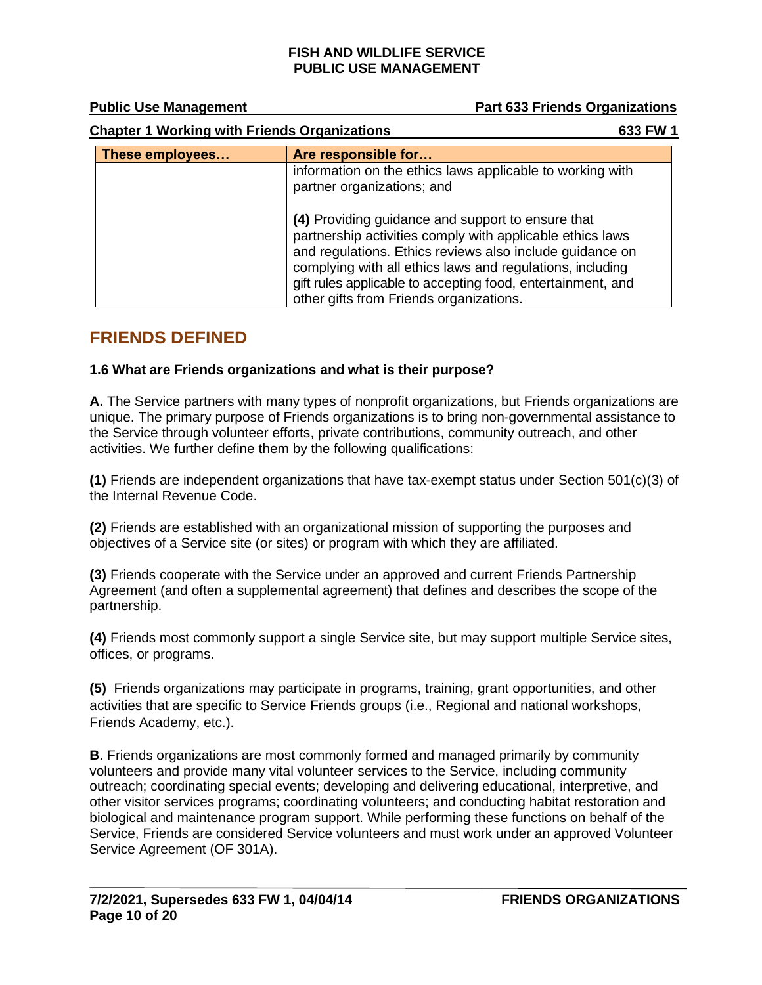**Public Use Management Part 633 Friends Organizations** 

| <b>Chapter 1 Working with Friends Organizations</b> |                                                                                                                                                                                                                                                                                                                                                   | 633 FW 1 |
|-----------------------------------------------------|---------------------------------------------------------------------------------------------------------------------------------------------------------------------------------------------------------------------------------------------------------------------------------------------------------------------------------------------------|----------|
| These employees                                     | Are responsible for                                                                                                                                                                                                                                                                                                                               |          |
|                                                     | information on the ethics laws applicable to working with<br>partner organizations; and                                                                                                                                                                                                                                                           |          |
|                                                     | (4) Providing guidance and support to ensure that<br>partnership activities comply with applicable ethics laws<br>and regulations. Ethics reviews also include guidance on<br>complying with all ethics laws and regulations, including<br>gift rules applicable to accepting food, entertainment, and<br>other gifts from Friends organizations. |          |

## <span id="page-9-0"></span>**FRIENDS DEFINED**

#### <span id="page-9-1"></span>**1.6 What are Friends organizations and what is their purpose?**

**A.** The Service partners with many types of nonprofit organizations, but Friends organizations are unique. The primary purpose of Friends organizations is to bring non-governmental assistance to the Service through volunteer efforts, private contributions, community outreach, and other activities. We further define them by the following qualifications:

**(1)** Friends are independent organizations that have tax-exempt status under Section 501(c)(3) of the Internal Revenue Code.

**(2)** Friends are established with an organizational mission of supporting the purposes and objectives of a Service site (or sites) or program with which they are affiliated.

**(3)** Friends cooperate with the Service under an approved and current Friends Partnership Agreement (and often a supplemental agreement) that defines and describes the scope of the partnership.

**(4)** Friends most commonly support a single Service site, but may support multiple Service sites, offices, or programs.

**(5)** Friends organizations may participate in programs, training, grant opportunities, and other activities that are specific to Service Friends groups (i.e., Regional and national workshops, Friends Academy, etc.).

**B**. Friends organizations are most commonly formed and managed primarily by community volunteers and provide many vital volunteer services to the Service, including community outreach; coordinating special events; developing and delivering educational, interpretive, and other visitor services programs; coordinating volunteers; and conducting habitat restoration and biological and maintenance program support. While performing these functions on behalf of the Service, Friends are considered Service volunteers and must work under an approved Volunteer Service Agreement (OF 301A).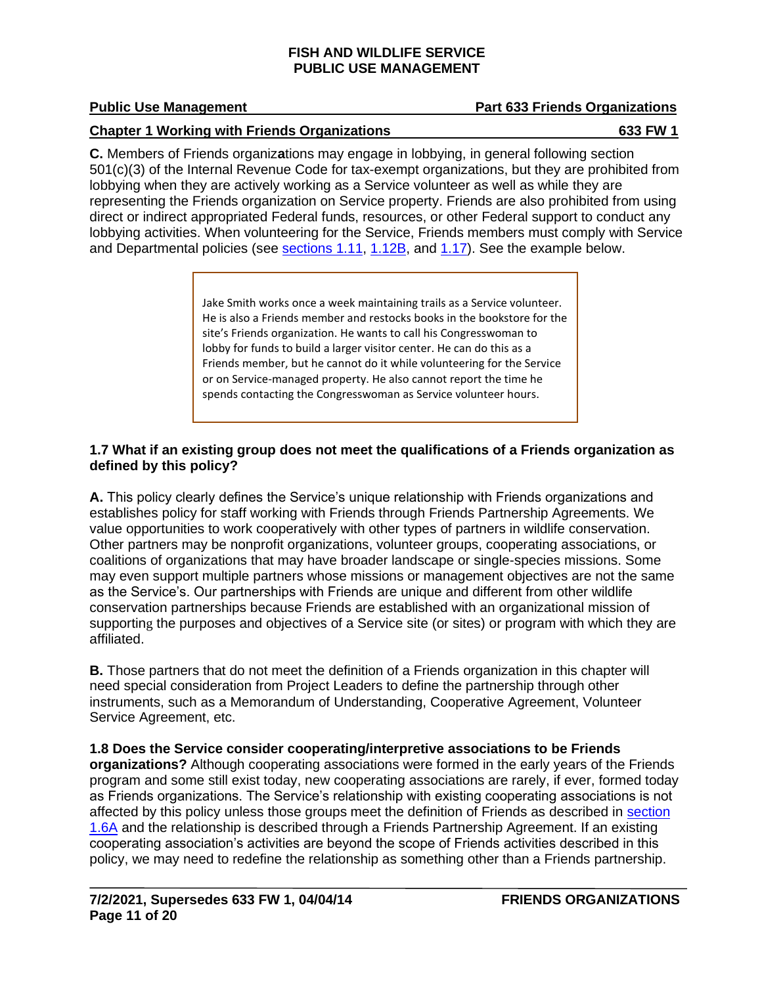#### **Chapter 1 Working with Friends Organizations 633 FW 1**

**C.** Members of Friends organiz**a**tions may engage in lobbying, in general following section 501(c)(3) of the Internal Revenue Code for tax-exempt organizations, but they are prohibited from lobbying when they are actively working as a Service volunteer as well as while they are representing the Friends organization on Service property. Friends are also prohibited from using direct or indirect appropriated Federal funds, resources, or other Federal support to conduct any lobbying activities. When volunteering for the Service, Friends members must comply with Service and Departmental policies (see [sections 1.11,](#page-12-1) [1.12B,](#page-13-0) and [1.17\)](#page-17-0). See the example below.

> Jake Smith works once a week maintaining trails as a Service volunteer. He is also a Friends member and restocks books in the bookstore for the site's Friends organization. He wants to call his Congresswoman to lobby for funds to build a larger visitor center. He can do this as a Friends member, but he cannot do it while volunteering for the Service or on Service-managed property. He also cannot report the time he spends contacting the Congresswoman as Service volunteer hours.

#### **1.7 What if an existing group does not meet the qualifications of a Friends organization as defined by this policy?**

**A.** This policy clearly defines the Service's unique relationship with Friends organizations and establishes policy for staff working with Friends through Friends Partnership Agreements. We value opportunities to work cooperatively with other types of partners in wildlife conservation. Other partners may be nonprofit organizations, volunteer groups, cooperating associations, or coalitions of organizations that may have broader landscape or single-species missions. Some may even support multiple partners whose missions or management objectives are not the same as the Service's. Our partnerships with Friends are unique and different from other wildlife conservation partnerships because Friends are established with an organizational mission of supporting the purposes and objectives of a Service site (or sites) or program with which they are affiliated.

**B.** Those partners that do not meet the definition of a Friends organization in this chapter will need special consideration from Project Leaders to define the partnership through other instruments, such as a Memorandum of Understanding, Cooperative Agreement, Volunteer Service Agreement, etc.

**1.8 Does the Service consider cooperating/interpretive associations to be Friends organizations?** Although cooperating associations were formed in the early years of the Friends program and some still exist today, new cooperating associations are rarely, if ever, formed today as Friends organizations. The Service's relationship with existing cooperating associations is not affected by this policy unless tho[se](#page-9-1) groups meet the definition of Friends as described in section 1.6A and the relationship is described through a Friends Partnership Agreement. If an existing cooperating association's activities are beyond the scope of Friends activities described in this policy, we may need to redefine the relationship as something other than a Friends partnership.

## **Public Use Management Part 633 Friends Organizations**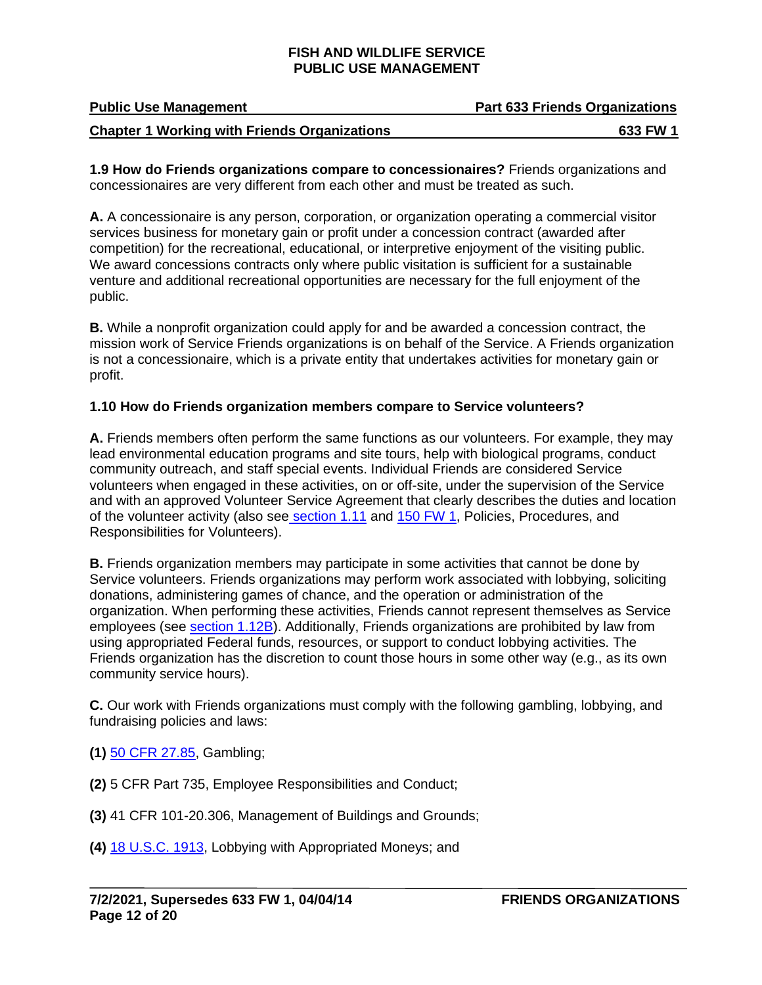| <b>Public Use Management</b>                        | <b>Part 633 Friends Organizations</b> |
|-----------------------------------------------------|---------------------------------------|
| <b>Chapter 1 Working with Friends Organizations</b> | 633 FW 1                              |

**1.9 How do Friends organizations compare to concessionaires?** Friends organizations and concessionaires are very different from each other and must be treated as such.

**A.** A concessionaire is any person, corporation, or organization operating a commercial visitor services business for monetary gain or profit under a concession contract (awarded after competition) for the recreational, educational, or interpretive enjoyment of the visiting public. We award concessions contracts only where public visitation is sufficient for a sustainable venture and additional recreational opportunities are necessary for the full enjoyment of the public.

**B.** While a nonprofit organization could apply for and be awarded a concession contract, the mission work of Service Friends organizations is on behalf of the Service. A Friends organization is not a concessionaire, which is a private entity that undertakes activities for monetary gain or profit.

#### **1.10 How do Friends organization members compare to Service volunteers?**

**A.** Friends members often perform the same functions as our volunteers. For example, they may lead environmental education programs and site tours, help with biological programs, conduct community outreach, and staff special events. Individual Friends are considered Service volunteers when engaged in these activities, on or off-site, under the supervision of the Service and with an approved Volunteer Service Agreement that clearly describes the duties and location of the volunteer activity (also see [section 1.11](#page-12-1) and [150 FW 1,](https://www.fws.gov/policy/150fw1.html) Policies, Procedures, and Responsibilities for Volunteers).

<span id="page-11-0"></span>**B.** Friends organization members may participate in some activities that cannot be done by Service volunteers. Friends organizations may perform work associated with lobbying, soliciting donations, administering games of chance, and the operation or administration of the organization. When performing these activities, Friends cannot represent themselves as Service employees (see [section 1.12B\)](#page-13-0). Additionally, Friends organizations are prohibited by law from using appropriated Federal funds, resources, or support to conduct lobbying activities. The Friends organization has the discretion to count those hours in some other way (e.g., as its own community service hours).

**C.** Our work with Friends organizations must comply with the following gambling, lobbying, and fundraising policies and laws:

- **(1)** [50 CFR 27.85,](https://www.ecfr.gov/) Gambling;
- **(2)** 5 CFR Part 735, Employee Responsibilities and Conduct;
- **(3)** 41 CFR 101-20.306, Management of Buildings and Grounds;
- **(4)** [18 U.S.C. 1913,](https://uscode.house.gov/search/criteria.shtml) Lobbying with Appropriated Moneys; and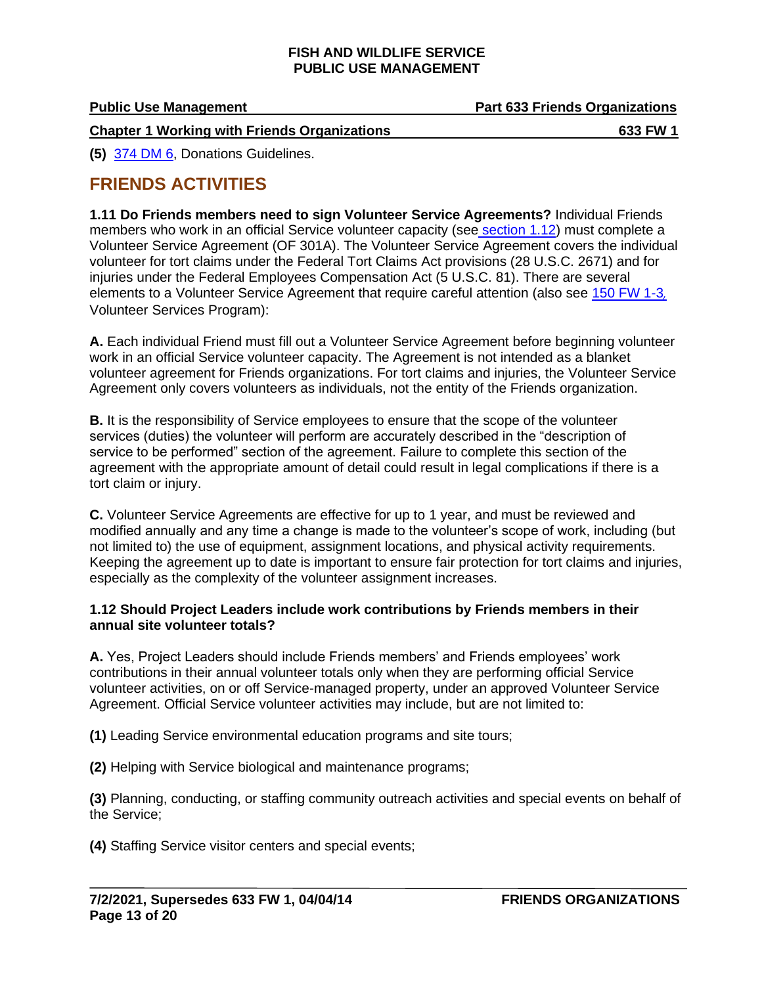| <b>Public Use Management</b>                        | <b>Part 633 Friends Organizations</b> |
|-----------------------------------------------------|---------------------------------------|
| <b>Chapter 1 Working with Friends Organizations</b> | 633 FW 1                              |

**(5)** [374 DM 6,](https://www.doi.gov/elips/browse) Donations Guidelines.

## <span id="page-12-0"></span>**FRIENDS ACTIVITIES**

<span id="page-12-1"></span>**1.11 Do Friends members need to sign Volunteer Service Agreements?** Individual Friends members who work in an official Service volunteer capacity (see [section 1.12\)](#page-12-2) must complete a Volunteer Service Agreement (OF 301A). The Volunteer Service Agreement covers the individual volunteer for tort claims under the Federal Tort Claims Act provisions (28 U.S.C. 2671) and for injuries under the Federal Employees Compensation Act (5 U.S.C. 81). There are several elements to a Volunteer Service Agreement that require careful attention (also see [150 FW 1-3](https://www.fws.gov/policy/manuals/part.cfm?series=100&seriestitle=EXTERNAL%20RELATIONS%20AND%20OUTREACH%20SERIES#150)*[,](https://www.fws.gov/policy/manuals/part.cfm?series=100&seriestitle=EXTERNAL%20RELATIONS%20AND%20OUTREACH%20SERIES#150)* Volunteer Services Program):

**A.** Each individual Friend must fill out a Volunteer Service Agreement before beginning volunteer work in an official Service volunteer capacity. The Agreement is not intended as a blanket volunteer agreement for Friends organizations. For tort claims and injuries, the Volunteer Service Agreement only covers volunteers as individuals, not the entity of the Friends organization.

**B.** It is the responsibility of Service employees to ensure that the scope of the volunteer services (duties) the volunteer will perform are accurately described in the "description of service to be performed" section of the agreement. Failure to complete this section of the agreement with the appropriate amount of detail could result in legal complications if there is a tort claim or injury.

**C.** Volunteer Service Agreements are effective for up to 1 year, and must be reviewed and modified annually and any time a change is made to the volunteer's scope of work, including (but not limited to) the use of equipment, assignment locations, and physical activity requirements. Keeping the agreement up to date is important to ensure fair protection for tort claims and injuries, especially as the complexity of the volunteer assignment increases.

#### <span id="page-12-2"></span>**1.12 Should Project Leaders include work contributions by Friends members in their annual site volunteer totals?**

**A.** Yes, Project Leaders should include Friends members' and Friends employees' work contributions in their annual volunteer totals only when they are performing official Service volunteer activities, on or off Service-managed property, under an approved Volunteer Service Agreement. Official Service volunteer activities may include, but are not limited to:

**(1)** Leading Service environmental education programs and site tours;

**(2)** Helping with Service biological and maintenance programs;

**(3)** Planning, conducting, or staffing community outreach activities and special events on behalf of the Service;

**(4)** Staffing Service visitor centers and special events;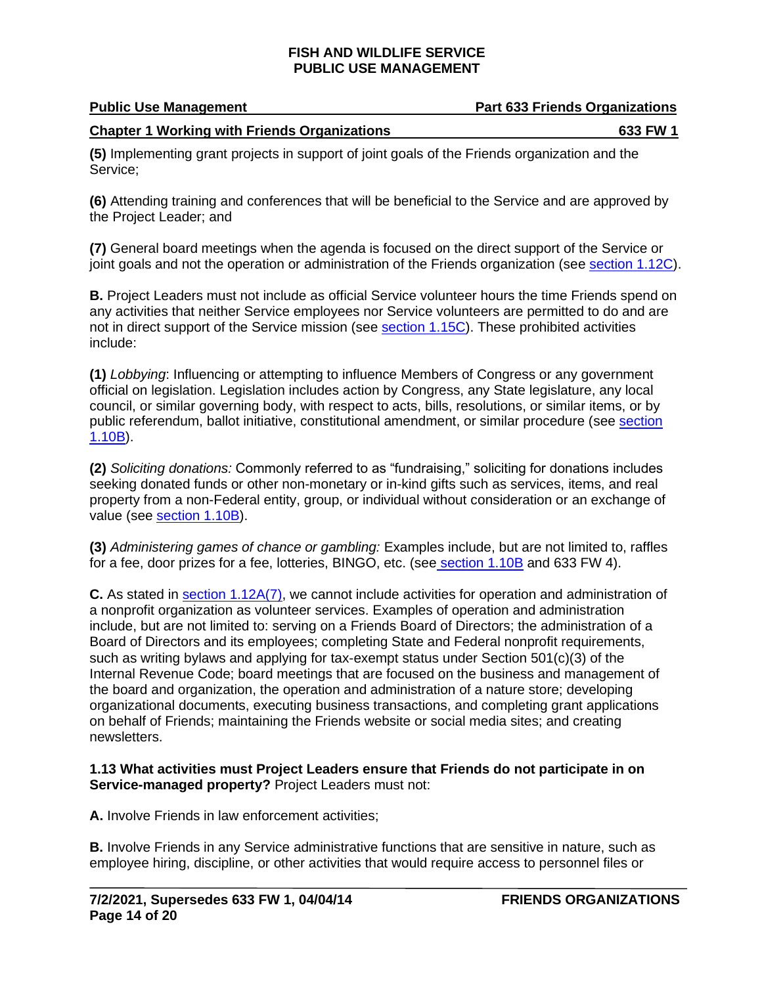| <b>Public Use Management</b>                        | <b>Part 633 Friends Organizations</b> |
|-----------------------------------------------------|---------------------------------------|
| <b>Chapter 1 Working with Friends Organizations</b> | 633 FW 1                              |

**(5)** Implementing grant projects in support of joint goals of the Friends organization and the Service;

**(6)** Attending training and conferences that will be beneficial to the Service and are approved by the Project Leader; and

<span id="page-13-2"></span>**(7)** General board meetings when the agenda is focused on the direct support of the Service or joint goals and not the operation or administration of the Friends organization (see [section 1.12C\)](#page-13-1).

<span id="page-13-0"></span>**B.** Project Leaders must not include as official Service volunteer hours the time Friends spend on any activities that neither Service employees nor Service volunteers are permitted to do and are not in direct support of the Service mission (see [section 1.15C\)](#page-15-0). These prohibited activities include:

**(1)** *Lobbying*: Influencing or attempting to influence Members of Congress or any government official on legislation. Legislation includes action by Congress, any State legislature, any local council, or similar governing body, with respect to acts, bills, resolutions, or similar items, or by public referendum, ballot initiative, constitutional amendment, or similar procedure (see [section](#page-11-0)  [1.10B\)](#page-11-0).

**(2)** *Soliciting donations:* Commonly referred to as "fundraising," soliciting for donations includes seeking donated funds or other non-monetary or in-kind gifts such as services, items, and real property from a non-Federal entity, group, or individual without consideration or an exchange of value (see [section 1.10B\)](#page-11-0).

**(3)** *Administering games of chance or gambling:* Examples include, but are not limited to, raffles for a fee, door prizes for a fee, lotteries, BINGO, etc. (see [section 1.10B](#page-11-0) and 633 FW 4).

<span id="page-13-1"></span>**C.** As stated in [section 1.12A\(7\),](#page-13-2) we cannot include activities for operation and administration of a nonprofit organization as volunteer services. Examples of operation and administration include, but are not limited to: serving on a Friends Board of Directors; the administration of a Board of Directors and its employees; completing State and Federal nonprofit requirements, such as writing bylaws and applying for tax-exempt status under Section 501(c)(3) of the Internal Revenue Code; board meetings that are focused on the business and management of the board and organization, the operation and administration of a nature store; developing organizational documents, executing business transactions, and completing grant applications on behalf of Friends; maintaining the Friends website or social media sites; and creating newsletters.

#### **1.13 What activities must Project Leaders ensure that Friends do not participate in on Service-managed property?** Project Leaders must not:

**A.** Involve Friends in law enforcement activities;

**B.** Involve Friends in any Service administrative functions that are sensitive in nature, such as employee hiring, discipline, or other activities that would require access to personnel files or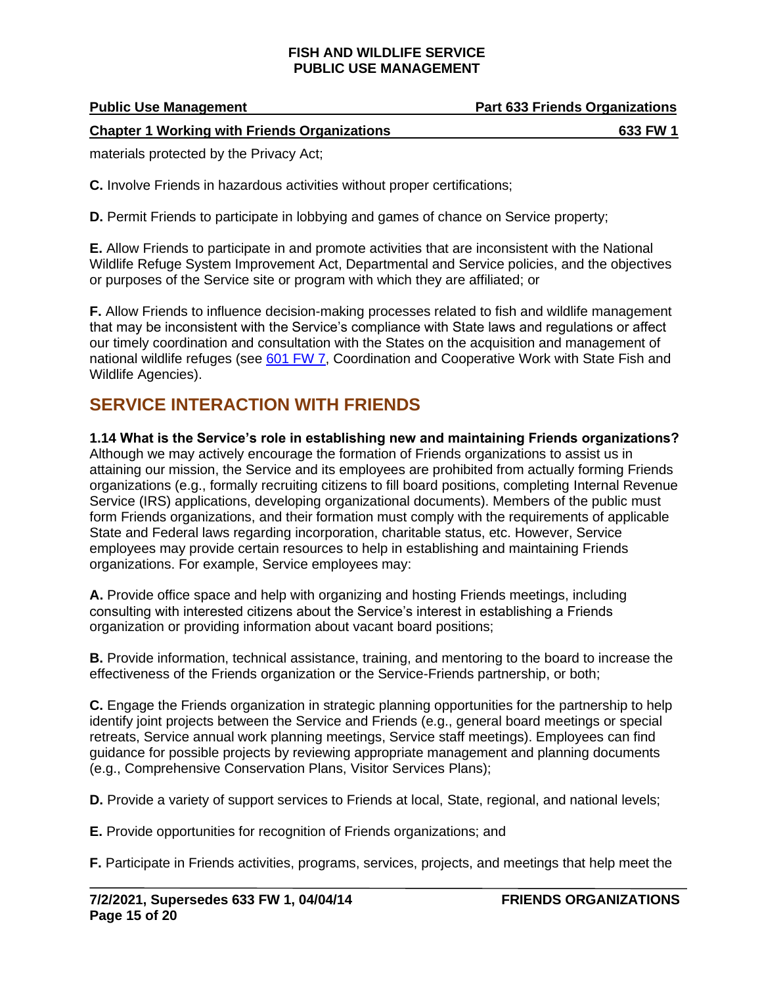| <b>Public Use Management</b>                        | <b>Part 633 Friends Organizations</b> |
|-----------------------------------------------------|---------------------------------------|
| <b>Chapter 1 Working with Friends Organizations</b> | 633 FW 1                              |

materials protected by the Privacy Act;

**C.** Involve Friends in hazardous activities without proper certifications;

**D.** Permit Friends to participate in lobbying and games of chance on Service property;

**E.** Allow Friends to participate in and promote activities that are inconsistent with the National Wildlife Refuge System Improvement Act, Departmental and Service policies, and the objectives or purposes of the Service site or program with which they are affiliated; or

**F.** Allow Friends to influence decision-making processes related to fish and wildlife management that may be inconsistent with the Service's compliance with State laws and regulations or affect our timely coordination and consultation with the States on the acquisition and management of national wildlife refuges (see [601 FW 7,](https://www.fws.gov/policy/601fw7.html) Coordination and Cooperative Work with State Fish and Wildlife Agencies).

# <span id="page-14-0"></span>**SERVICE INTERACTION WITH FRIENDS**

**1.14 What is the Service's role in establishing new and maintaining Friends organizations?**  Although we may actively encourage the formation of Friends organizations to assist us in attaining our mission, the Service and its employees are prohibited from actually forming Friends organizations (e.g., formally recruiting citizens to fill board positions, completing Internal Revenue Service (IRS) applications, developing organizational documents). Members of the public must form Friends organizations, and their formation must comply with the requirements of applicable State and Federal laws regarding incorporation, charitable status, etc. However, Service employees may provide certain resources to help in establishing and maintaining Friends organizations. For example, Service employees may:

**A.** Provide office space and help with organizing and hosting Friends meetings, including consulting with interested citizens about the Service's interest in establishing a Friends organization or providing information about vacant board positions;

**B.** Provide information, technical assistance, training, and mentoring to the board to increase the effectiveness of the Friends organization or the Service-Friends partnership, or both;

**C.** Engage the Friends organization in strategic planning opportunities for the partnership to help identify joint projects between the Service and Friends (e.g., general board meetings or special retreats, Service annual work planning meetings, Service staff meetings). Employees can find guidance for possible projects by reviewing appropriate management and planning documents (e.g., Comprehensive Conservation Plans, Visitor Services Plans);

**D.** Provide a variety of support services to Friends at local, State, regional, and national levels;

**E.** Provide opportunities for recognition of Friends organizations; and

**F.** Participate in Friends activities, programs, services, projects, and meetings that help meet the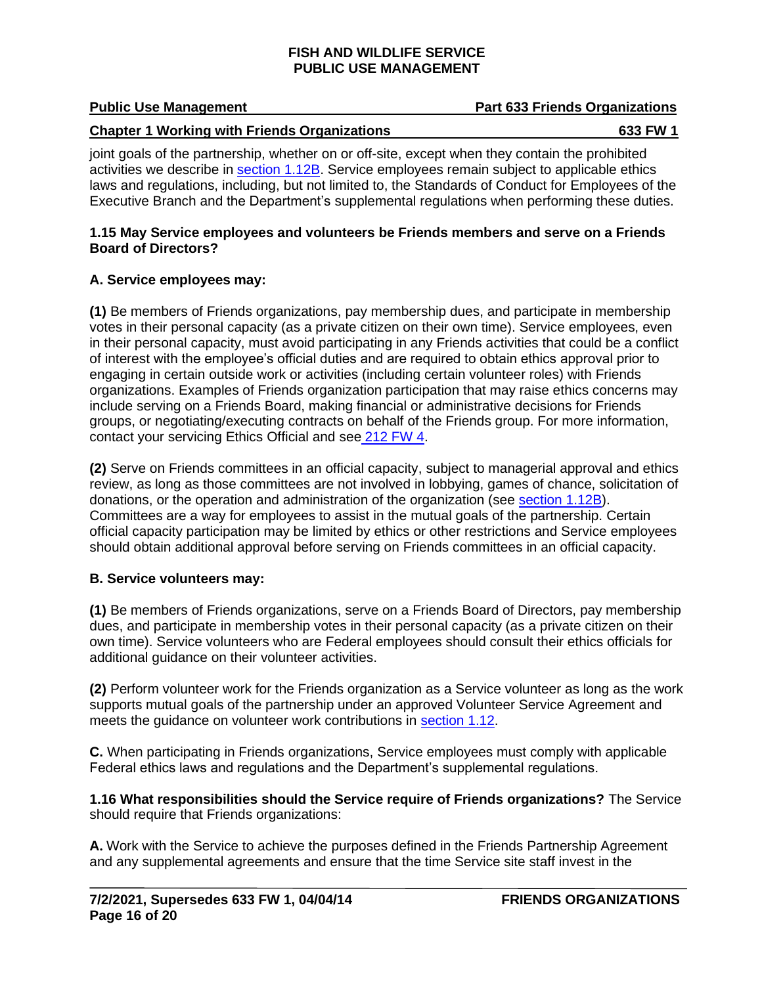## **Public Use Management Part 633 Friends Organizations**

#### **Chapter 1 Working with Friends Organizations 633 FW 1**

joint goals of the partnership, whether on or off-site, except when they contain the prohibited activities we describe in [section 1.12B.](#page-13-0) Service employees remain subject to applicable ethics laws and regulations, including, but not limited to, the Standards of Conduct for Employees of the Executive Branch and the Department's supplemental regulations when performing these duties.

#### **1.15 May Service employees and volunteers be Friends members and serve on a Friends Board of Directors?**

### **A. Service employees may:**

**(1)** Be members of Friends organizations, pay membership dues, and participate in membership votes in their personal capacity (as a private citizen on their own time). Service employees, even in their personal capacity, must avoid participating in any Friends activities that could be a conflict of interest with the employee's official duties and are required to obtain ethics approval prior to engaging in certain outside work or activities (including certain volunteer roles) with Friends organizations. Examples of Friends organization participation that may raise ethics concerns may include serving on a Friends Board, making financial or administrative decisions for Friends groups, or negotiating/executing contracts on behalf of the Friends group. For more information, contact your servicing Ethics Official and see [212 FW](https://www.fws.gov/policy/212fw4.html) 4.

**(2)** Serve on Friends committees in an official capacity, subject to managerial approval and ethics review, as long as those committees are not involved in lobbying, games of chance, solicitation of donations, or the operation and administration of the organization (see [section 1.12B\)](#page-13-0). Committees are a way for employees to assist in the mutual goals of the partnership. Certain official capacity participation may be limited by ethics or other restrictions and Service employees should obtain additional approval before serving on Friends committees in an official capacity.

### **B. Service volunteers may:**

**(1)** Be members of Friends organizations, serve on a Friends Board of Directors, pay membership dues, and participate in membership votes in their personal capacity (as a private citizen on their own time). Service volunteers who are Federal employees should consult their ethics officials for additional guidance on their volunteer activities.

**(2)** Perform volunteer work for the Friends organization as a Service volunteer as long as the work supports mutual goals of the partnership under an approved Volunteer Service Agreement and meets the guidance on volunteer work contributions in [section 1.12.](#page-12-2)

**C.** When participating in Friends organizations, Service employees must comply with applicable Federal ethics laws and regulations and the Department's supplemental regulations.

<span id="page-15-0"></span>**1.16 What responsibilities should the Service require of Friends organizations?** The Service should require that Friends organizations:

**A.** Work with the Service to achieve the purposes defined in the Friends Partnership Agreement and any supplemental agreements and ensure that the time Service site staff invest in the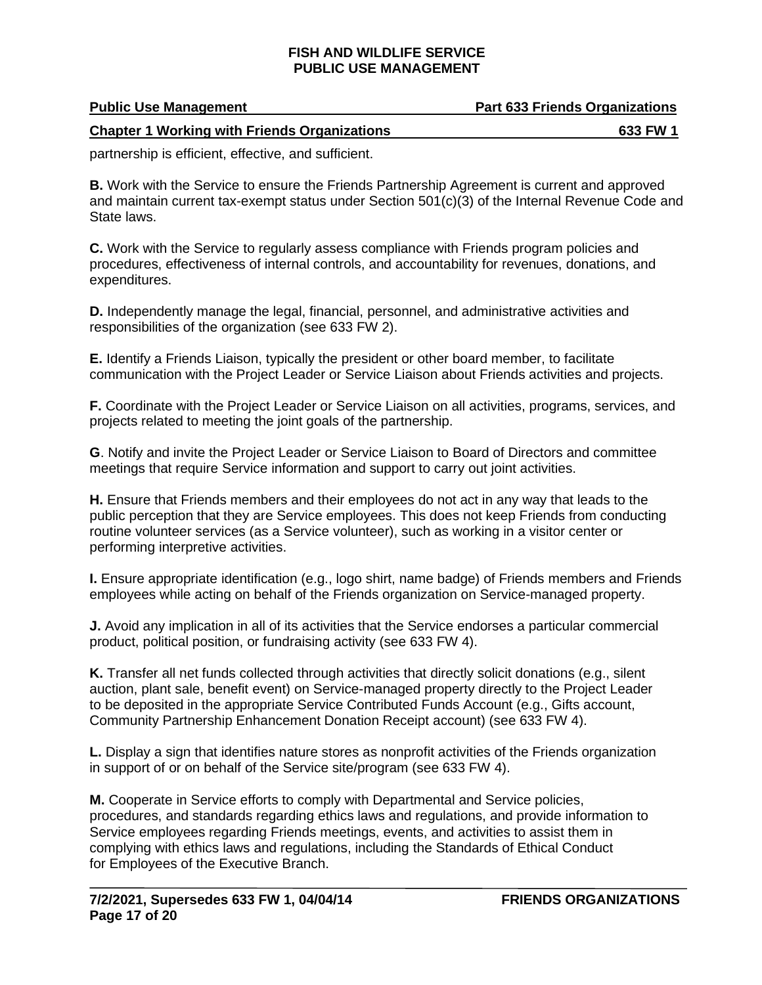| <b>Public Use Management</b>                        | <b>Part 633 Friends Organizations</b> |
|-----------------------------------------------------|---------------------------------------|
| <b>Chapter 1 Working with Friends Organizations</b> | 633 FW 1                              |

partnership is efficient, effective, and sufficient.

**B.** Work with the Service to ensure the Friends Partnership Agreement is current and approved and maintain current tax-exempt status under Section 501(c)(3) of the Internal Revenue Code and State laws.

**C.** Work with the Service to regularly assess compliance with Friends program policies and procedures, effectiveness of internal controls, and accountability for revenues, donations, and expenditures.

**D.** Independently manage the legal, financial, personnel, and administrative activities and responsibilities of the organization (see 633 FW 2).

**E.** Identify a Friends Liaison, typically the president or other board member, to facilitate communication with the Project Leader or Service Liaison about Friends activities and projects.

**F.** Coordinate with the Project Leader or Service Liaison on all activities, programs, services, and projects related to meeting the joint goals of the partnership.

**G**. Notify and invite the Project Leader or Service Liaison to Board of Directors and committee meetings that require Service information and support to carry out joint activities.

**H.** Ensure that Friends members and their employees do not act in any way that leads to the public perception that they are Service employees. This does not keep Friends from conducting routine volunteer services (as a Service volunteer), such as working in a visitor center or performing interpretive activities.

**I.** Ensure appropriate identification (e.g., logo shirt, name badge) of Friends members and Friends employees while acting on behalf of the Friends organization on Service-managed property.

**J.** Avoid any implication in all of its activities that the Service endorses a particular commercial product, political position, or fundraising activity (see 633 FW 4).

<span id="page-16-0"></span>**K.** Transfer all net funds collected through activities that directly solicit donations (e.g., silent auction, plant sale, benefit event) on Service-managed property directly to the Project Leader to be deposited in the appropriate Service Contributed Funds Account (e.g., Gifts account, Community Partnership Enhancement Donation Receipt account) (see 633 FW 4).

**L.** Display a sign that identifies nature stores as nonprofit activities of the Friends organization in support of or on behalf of the Service site/program (see 633 FW 4).

**M.** Cooperate in Service efforts to comply with Departmental and Service policies, procedures, and standards regarding ethics laws and regulations, and provide information to Service employees regarding Friends meetings, events, and activities to assist them in complying with ethics laws and regulations, including the Standards of Ethical Conduct for Employees of the Executive Branch.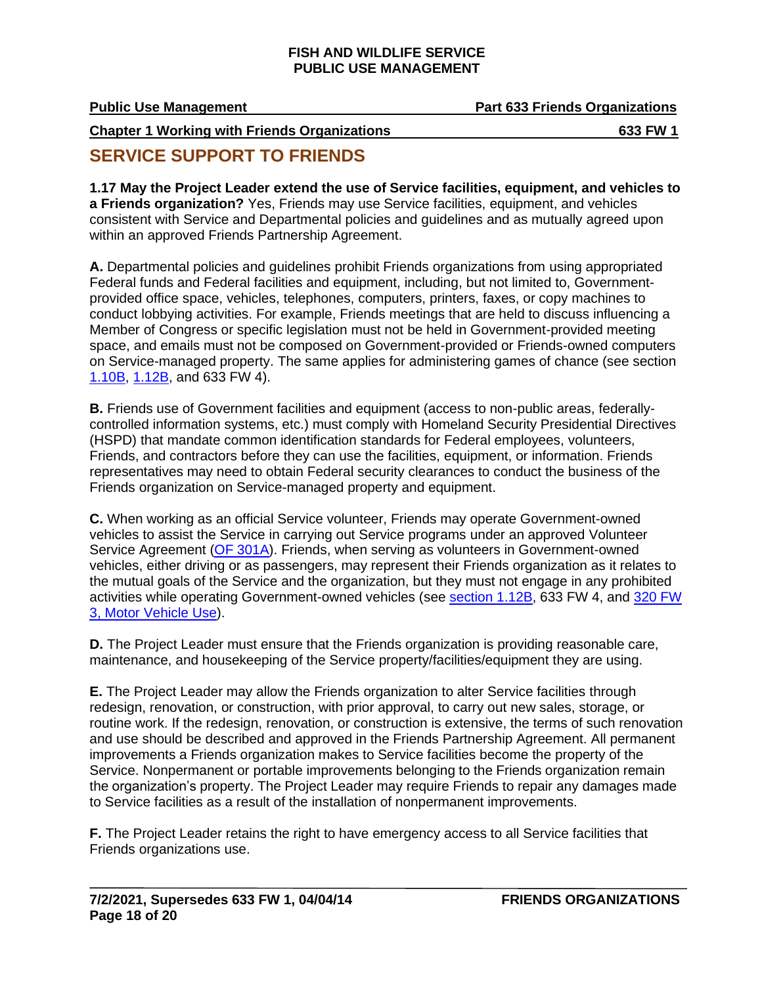# **Public Use Management Part 633 Friends Organizations**

**Chapter 1 Working with Friends Organizations 633 FW 1**

## **SERVICE SUPPORT TO FRIENDS**

<span id="page-17-0"></span>**1.17 May the Project Leader extend the use of Service facilities, equipment, and vehicles to a Friends organization?** Yes, Friends may use Service facilities, equipment, and vehicles consistent with Service and Departmental policies and guidelines and as mutually agreed upon within an approved Friends Partnership Agreement.

**A.** Departmental policies and guidelines prohibit Friends organizations from using appropriated Federal funds and Federal facilities and equipment, including, but not limited to, Governmentprovided office space, vehicles, telephones, computers, printers, faxes, or copy machines to conduct lobbying activities. For example, Friends meetings that are held to discuss influencing a Member of Congress or specific legislation must not be held in Government-provided meeting space, and emails must not be composed on Government-provided or Friends-owned computers on Service-managed property. The same applies for administering games of chance (see section [1.10B,](#page-11-0) [1.12B,](#page-13-0) and 633 FW 4).

**B.** Friends use of Government facilities and equipment (access to non-public areas, federallycontrolled information systems, etc.) must comply with Homeland Security Presidential Directives (HSPD) that mandate common identification standards for Federal employees, volunteers, Friends, and contractors before they can use the facilities, equipment, or information. Friends representatives may need to obtain Federal security clearances to conduct the business of the Friends organization on Service-managed property and equipment.

**C.** When working as an official Service volunteer, Friends may operate Government-owned vehicles to assist the Service in carrying out Service programs under an approved Volunteer Service Agreement [\(OF 301A\)](https://www.gsa.gov/forms-library/volunteer-service-agreement-natural-and-cultural-resources). Friends, when serving as volunteers in Government-owned vehicles, either driving or as passengers, may represent their Friends organization as it relates to the mutual goals of the Service and the organization, but they must not engage in any prohibited activities while operating Government-owned vehicles (see [section 1.12B,](#page-13-0) 633 FW 4, and [320 FW](https://www.fws.gov/policy/320fw3.html)  [3, Motor Vehicle Use\)](https://www.fws.gov/policy/320fw3.html).

**D.** The Project Leader must ensure that the Friends organization is providing reasonable care, maintenance, and housekeeping of the Service property/facilities/equipment they are using.

**E.** The Project Leader may allow the Friends organization to alter Service facilities through redesign, renovation, or construction, with prior approval, to carry out new sales, storage, or routine work. If the redesign, renovation, or construction is extensive, the terms of such renovation and use should be described and approved in the Friends Partnership Agreement. All permanent improvements a Friends organization makes to Service facilities become the property of the Service. Nonpermanent or portable improvements belonging to the Friends organization remain the organization's property. The Project Leader may require Friends to repair any damages made to Service facilities as a result of the installation of nonpermanent improvements.

**F.** The Project Leader retains the right to have emergency access to all Service facilities that Friends organizations use.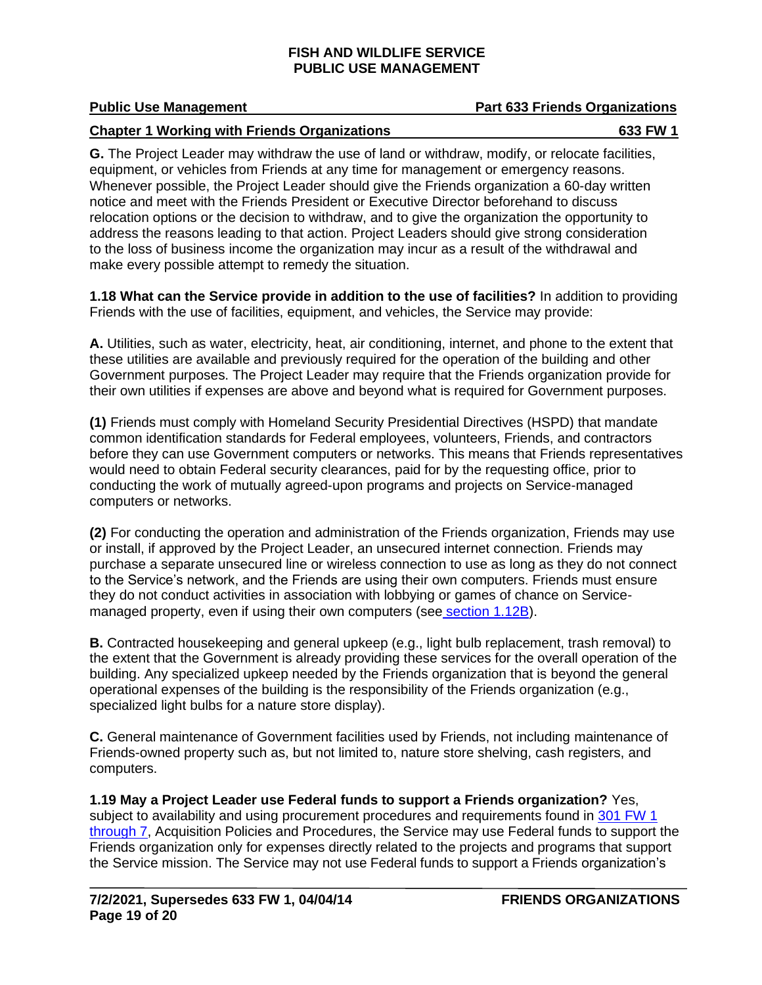#### **Chapter 1 Working with Friends Organizations 633 FW 1**

**G.** The Project Leader may withdraw the use of land or withdraw, modify, or relocate facilities, equipment, or vehicles from Friends at any time for management or emergency reasons. Whenever possible, the Project Leader should give the Friends organization a 60-day written notice and meet with the Friends President or Executive Director beforehand to discuss relocation options or the decision to withdraw, and to give the organization the opportunity to address the reasons leading to that action. Project Leaders should give strong consideration to the loss of business income the organization may incur as a result of the withdrawal and make every possible attempt to remedy the situation.

**1.18 What can the Service provide in addition to the use of facilities?** In addition to providing Friends with the use of facilities, equipment, and vehicles, the Service may provide:

**A.** Utilities, such as water, electricity, heat, air conditioning, internet, and phone to the extent that these utilities are available and previously required for the operation of the building and other Government purposes. The Project Leader may require that the Friends organization provide for their own utilities if expenses are above and beyond what is required for Government purposes.

**(1)** Friends must comply with Homeland Security Presidential Directives (HSPD) that mandate common identification standards for Federal employees, volunteers, Friends, and contractors before they can use Government computers or networks. This means that Friends representatives would need to obtain Federal security clearances, paid for by the requesting office, prior to conducting the work of mutually agreed-upon programs and projects on Service-managed computers or networks.

**(2)** For conducting the operation and administration of the Friends organization, Friends may use or install, if approved by the Project Leader, an unsecured internet connection. Friends may purchase a separate unsecured line or wireless connection to use as long as they do not connect to the Service's network, and the Friends are using their own computers. Friends must ensure they do not conduct activities in association with lobbying or games of chance on Servicemanaged property, even if using their own computers (see [section 1.12B\)](#page-13-0).

**B.** Contracted housekeeping and general upkeep (e.g., light bulb replacement, trash removal) to the extent that the Government is already providing these services for the overall operation of the building. Any specialized upkeep needed by the Friends organization that is beyond the general operational expenses of the building is the responsibility of the Friends organization (e.g., specialized light bulbs for a nature store display).

**C.** General maintenance of Government facilities used by Friends, not including maintenance of Friends-owned property such as, but not limited to, nature store shelving, cash registers, and computers.

**1.19 May a Project Leader use Federal funds to support a Friends organization?** Yes, subject to availability and using procurement procedures and requirements found in 301 FW 1 [through 7,](https://www.fws.gov/policy/manuals/part.cfm?series=300&seriestitle=LOGISTICS#301) Acquisition Policies and Procedures, the Service may use Federal funds to support the Friends organization only for expenses directly related to the projects and programs that support the Service mission. The Service may not use Federal funds to support a Friends organization's

## **Public Use Management Part 633 Friends Organizations**